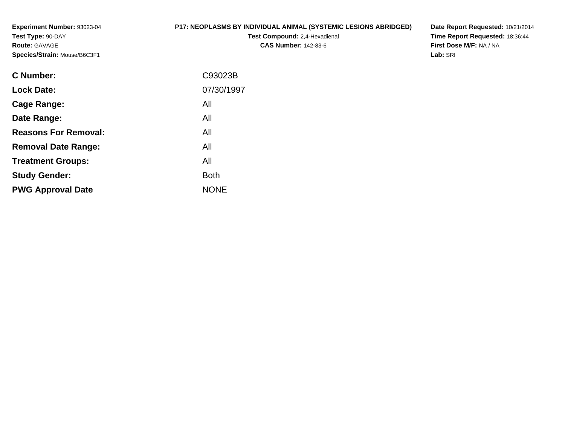**Experiment Number:** 93023-04**Test Type:** 90-DAY**Route:** GAVAGE**Species/Strain:** Mouse/B6C3F1

#### **P17: NEOPLASMS BY INDIVIDUAL ANIMAL (SYSTEMIC LESIONS ABRIDGED)**

**Test Compound:** 2,4-Hexadienal **CAS Number:** 142-83-6

**Date Report Requested:** 10/21/2014 **Time Report Requested:** 18:36:44**First Dose M/F:** NA / NA**Lab:** SRI

| C93023B     |
|-------------|
| 07/30/1997  |
| All         |
| All         |
| All         |
| All         |
| All         |
| <b>Both</b> |
| <b>NONE</b> |
|             |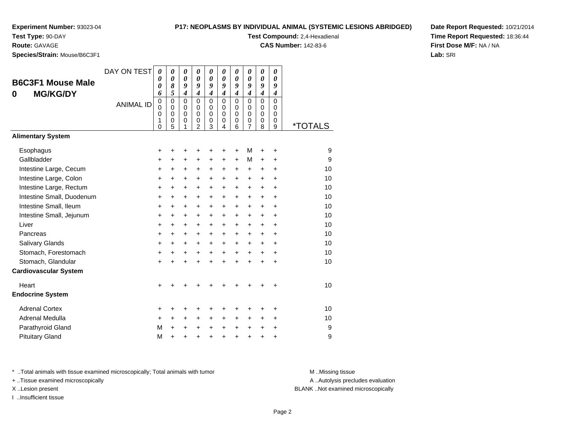### **Test Type:** 90-DAY

**Route:** GAVAGE

**Species/Strain:** Mouse/B6C3F1

#### **P17: NEOPLASMS BY INDIVIDUAL ANIMAL (SYSTEMIC LESIONS ABRIDGED)**

**Test Compound:** 2,4-Hexadienal

**CAS Number:** 142-83-6

**Date Report Requested:** 10/21/2014**Time Report Requested:** 18:36:44**First Dose M/F:** NA / NA**Lab:** SRI

| <b>B6C3F1 Mouse Male</b><br><b>MG/KG/DY</b><br>0 | DAY ON TEST<br><b>ANIMAL ID</b> | 0<br>0<br>0<br>6<br>$\pmb{0}$<br>$\mathbf 0$<br>0<br>1<br>0 | 0<br>$\boldsymbol{\theta}$<br>8<br>5<br>$\mathbf 0$<br>$\mathbf 0$<br>$\mathbf 0$<br>0<br>5 | 0<br>$\boldsymbol{\theta}$<br>9<br>$\boldsymbol{4}$<br>$\mathbf 0$<br>$\mathbf 0$<br>$\mathbf 0$<br>0<br>1 | 0<br>$\boldsymbol{\theta}$<br>9<br>$\overline{\boldsymbol{4}}$<br>$\mathbf 0$<br>$\mathbf 0$<br>$\mathbf 0$<br>0<br>$\overline{2}$ | 0<br>0<br>9<br>$\overline{\boldsymbol{4}}$<br>$\mathbf 0$<br>$\mathbf 0$<br>0<br>0<br>3 | 0<br>0<br>9<br>$\boldsymbol{4}$<br>$\Omega$<br>$\Omega$<br>$\Omega$<br>$\mathbf 0$<br>4 | 0<br>$\boldsymbol{\theta}$<br>9<br>$\boldsymbol{4}$<br>$\mathbf 0$<br>$\pmb{0}$<br>$\mathbf 0$<br>$\pmb{0}$<br>6 | 0<br>0<br>9<br>$\overline{4}$<br>0<br>$\mathbf 0$<br>0<br>0<br>$\overline{7}$ | 0<br>0<br>9<br>$\overline{4}$<br>$\mathbf 0$<br>$\mathbf 0$<br>0<br>0<br>8 | 0<br>0<br>9<br>$\boldsymbol{4}$<br>$\mathbf 0$<br>0<br>$\Omega$<br>0<br>9 | <i><b>*TOTALS</b></i> |
|--------------------------------------------------|---------------------------------|-------------------------------------------------------------|---------------------------------------------------------------------------------------------|------------------------------------------------------------------------------------------------------------|------------------------------------------------------------------------------------------------------------------------------------|-----------------------------------------------------------------------------------------|-----------------------------------------------------------------------------------------|------------------------------------------------------------------------------------------------------------------|-------------------------------------------------------------------------------|----------------------------------------------------------------------------|---------------------------------------------------------------------------|-----------------------|
| <b>Alimentary System</b>                         |                                 |                                                             |                                                                                             |                                                                                                            |                                                                                                                                    |                                                                                         |                                                                                         |                                                                                                                  |                                                                               |                                                                            |                                                                           |                       |
| Esophagus<br>Gallbladder                         |                                 | +<br>+                                                      | +<br>+                                                                                      | +<br>$\ddot{}$                                                                                             | +<br>+                                                                                                                             | +<br>+                                                                                  | +<br>+                                                                                  | +<br>$\ddot{}$                                                                                                   | М<br>М                                                                        | +<br>$\ddot{}$                                                             | +<br>+                                                                    | 9<br>9                |
| Intestine Large, Cecum                           |                                 | +                                                           | +                                                                                           | +                                                                                                          | +                                                                                                                                  | +                                                                                       | +                                                                                       | +                                                                                                                | $\ddot{}$                                                                     | $\ddot{}$                                                                  | +                                                                         | 10                    |
| Intestine Large, Colon                           |                                 | +                                                           | +                                                                                           | $\ddot{}$                                                                                                  | $\ddot{}$                                                                                                                          | $\ddot{}$                                                                               | $\ddot{}$                                                                               | $\ddot{}$                                                                                                        | $\pm$                                                                         | $+$                                                                        | +                                                                         | 10                    |
| Intestine Large, Rectum                          |                                 | +                                                           | $\ddot{}$                                                                                   | $\ddot{}$                                                                                                  | +                                                                                                                                  | +                                                                                       | $\ddot{}$                                                                               | $\ddot{}$                                                                                                        | $\ddot{}$                                                                     | $+$                                                                        | $\ddot{}$                                                                 | 10                    |
| Intestine Small, Duodenum                        |                                 | $\ddot{}$                                                   | $\ddot{}$                                                                                   | +                                                                                                          | +                                                                                                                                  | +                                                                                       | $\ddot{}$                                                                               | $\ddot{}$                                                                                                        | $\ddot{}$                                                                     | $+$                                                                        | $\ddot{}$                                                                 | 10                    |
| Intestine Small, Ileum                           |                                 | $\ddot{}$                                                   | $\ddot{}$                                                                                   | $\ddot{}$                                                                                                  | +                                                                                                                                  | +                                                                                       | $\ddot{}$                                                                               | $\ddot{}$                                                                                                        | $\ddot{}$                                                                     | $+$                                                                        | $\ddot{}$                                                                 | 10                    |
| Intestine Small, Jejunum                         |                                 | $\ddot{}$                                                   | $\ddot{}$                                                                                   | $\ddot{}$                                                                                                  | $\ddot{}$                                                                                                                          | $\ddot{}$                                                                               | $\ddot{}$                                                                               | $\ddot{}$                                                                                                        | $+$                                                                           | $+$                                                                        | $\ddot{}$                                                                 | 10                    |
| Liver                                            |                                 | $\ddot{}$                                                   | $\ddot{}$                                                                                   | $\ddot{}$                                                                                                  | $\ddot{}$                                                                                                                          | $\ddot{}$                                                                               | $\ddot{}$                                                                               | $\ddot{}$                                                                                                        | $+$                                                                           | $+$                                                                        | $\ddot{}$                                                                 | 10                    |
| Pancreas                                         |                                 | $\ddot{}$                                                   | $\ddot{}$                                                                                   | $\ddot{}$                                                                                                  | +                                                                                                                                  | +                                                                                       | $\ddot{}$                                                                               | $\ddot{}$                                                                                                        | $+$                                                                           | $+$                                                                        | $\ddot{}$                                                                 | 10                    |
| Salivary Glands                                  |                                 | $\ddot{}$                                                   | $\ddot{}$                                                                                   | $\ddot{}$                                                                                                  | $\ddot{}$                                                                                                                          | $\ddot{}$                                                                               | $\ddot{}$                                                                               | $\ddot{}$                                                                                                        | $+$                                                                           | $+$                                                                        | $\ddot{}$                                                                 | 10                    |
| Stomach, Forestomach                             |                                 | $\ddot{}$                                                   | $\ddot{}$                                                                                   | $\ddot{}$                                                                                                  | $\ddot{}$                                                                                                                          | $\ddot{}$                                                                               | $\ddot{}$                                                                               | $+$                                                                                                              | $+$                                                                           | $+$                                                                        | $\ddot{}$                                                                 | 10                    |
| Stomach, Glandular                               |                                 | $\ddot{}$                                                   | $\ddot{}$                                                                                   | $\ddot{}$                                                                                                  | $\ddot{}$                                                                                                                          | $\ddot{}$                                                                               | $\ddot{}$                                                                               | $\ddot{}$                                                                                                        | $\ddot{}$                                                                     | $\ddot{}$                                                                  | $\ddot{}$                                                                 | 10                    |
| <b>Cardiovascular System</b>                     |                                 |                                                             |                                                                                             |                                                                                                            |                                                                                                                                    |                                                                                         |                                                                                         |                                                                                                                  |                                                                               |                                                                            |                                                                           |                       |
| Heart                                            |                                 | +                                                           |                                                                                             |                                                                                                            |                                                                                                                                    |                                                                                         |                                                                                         |                                                                                                                  |                                                                               |                                                                            |                                                                           | 10                    |
| <b>Endocrine System</b>                          |                                 |                                                             |                                                                                             |                                                                                                            |                                                                                                                                    |                                                                                         |                                                                                         |                                                                                                                  |                                                                               |                                                                            |                                                                           |                       |
| <b>Adrenal Cortex</b>                            |                                 | +                                                           | +                                                                                           | ٠                                                                                                          | +                                                                                                                                  | +                                                                                       | ٠                                                                                       | ٠                                                                                                                | ٠                                                                             | +                                                                          | ٠                                                                         | 10                    |
| Adrenal Medulla                                  |                                 | $\ddot{}$                                                   | $\ddot{}$                                                                                   | $\ddot{}$                                                                                                  | $\ddot{}$                                                                                                                          | $\ddot{}$                                                                               | $\ddot{}$                                                                               | $\ddot{}$                                                                                                        | $+$                                                                           | $\ddot{}$                                                                  | $\ddot{}$                                                                 | 10                    |
| Parathyroid Gland                                |                                 | M                                                           | $\ddot{}$                                                                                   | $\ddot{}$                                                                                                  | $\ddot{}$                                                                                                                          | +                                                                                       | $\ddot{}$                                                                               | $\ddot{}$                                                                                                        | $+$                                                                           | +                                                                          | +                                                                         | 9                     |
| <b>Pituitary Gland</b>                           |                                 | M                                                           | $\ddot{}$                                                                                   |                                                                                                            |                                                                                                                                    | $\ddot{}$                                                                               | $\ddot{}$                                                                               | $\ddot{}$                                                                                                        | $\ddot{}$                                                                     | $\ddot{}$                                                                  | $\ddot{}$                                                                 | 9                     |

\* ..Total animals with tissue examined microscopically; Total animals with tumor **M** . Missing tissue M ..Missing tissue

+ ..Tissue examined microscopically

I ..Insufficient tissue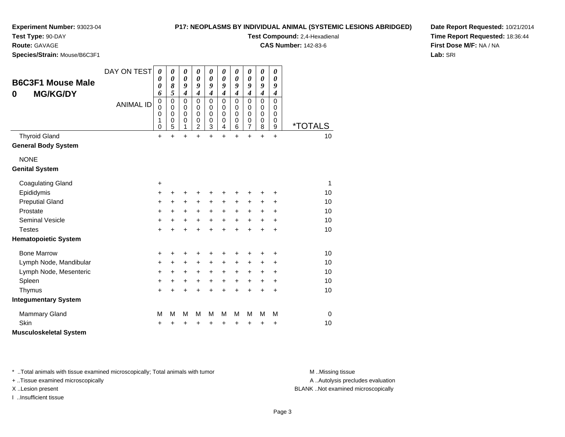#### **P17: NEOPLASMS BY INDIVIDUAL ANIMAL (SYSTEMIC LESIONS ABRIDGED)**

**Test Compound:** 2,4-Hexadienal **CAS Number:** 142-83-6

**Experiment Number:** 93023-04

**Test Type:** 90-DAY

**Route:** GAVAGE

**Species/Strain:** Mouse/B6C3F1

**Date Report Requested:** 10/21/2014**Time Report Requested:** 18:36:44**First Dose M/F:** NA / NA**Lab:** SRI

| 0             | <b>B6C3F1 Mouse Male</b><br><b>MG/KG/DY</b>        | DAY ON TEST<br><b>ANIMAL ID</b> | 0<br>$\boldsymbol{\theta}$<br>0<br>6<br>$\mathbf 0$<br>$\mathbf 0$<br>$\mathbf 0$<br>1 | 0<br>$\boldsymbol{\theta}$<br>8<br>5<br>$\mathbf 0$<br>$\mathbf 0$<br>$\mathbf 0$<br>$\mathbf 0$ | 0<br>$\boldsymbol{\theta}$<br>9<br>$\boldsymbol{4}$<br>$\mathbf 0$<br>$\mathbf 0$<br>$\mathbf 0$<br>$\pmb{0}$ | 0<br>0<br>9<br>$\boldsymbol{4}$<br>$\mathbf 0$<br>$\Omega$<br>$\mathbf 0$<br>0 | 0<br>0<br>9<br>$\boldsymbol{4}$<br>$\mathbf 0$<br>0<br>$\mathbf 0$<br>0 | $\boldsymbol{\theta}$<br>0<br>9<br>$\boldsymbol{4}$<br>$\mathbf 0$<br>$\Omega$<br>0<br>0 | 0<br>0<br>9<br>$\boldsymbol{4}$<br>$\mathbf 0$<br>$\mathbf 0$<br>0<br>0 | 0<br>0<br>9<br>$\overline{\boldsymbol{4}}$<br>$\mathbf 0$<br>$\Omega$<br>0<br>0 | 0<br>$\boldsymbol{\theta}$<br>9<br>$\overline{\mathbf{4}}$<br>$\mathbf 0$<br>$\mathbf 0$<br>$\mathbf 0$<br>0 | 0<br>0<br>9<br>$\boldsymbol{4}$<br>$\mathbf 0$<br>0<br>0<br>0 |                             |
|---------------|----------------------------------------------------|---------------------------------|----------------------------------------------------------------------------------------|--------------------------------------------------------------------------------------------------|---------------------------------------------------------------------------------------------------------------|--------------------------------------------------------------------------------|-------------------------------------------------------------------------|------------------------------------------------------------------------------------------|-------------------------------------------------------------------------|---------------------------------------------------------------------------------|--------------------------------------------------------------------------------------------------------------|---------------------------------------------------------------|-----------------------------|
|               |                                                    |                                 | $\mathbf 0$                                                                            | 5                                                                                                | 1                                                                                                             | $\overline{2}$                                                                 | 3                                                                       | $\overline{4}$                                                                           | 6                                                                       | $\overline{7}$                                                                  | 8                                                                                                            | 9                                                             | <i><b>*TOTALS</b></i><br>10 |
|               | <b>Thyroid Gland</b><br><b>General Body System</b> |                                 | $\ddot{}$                                                                              | $\ddot{}$                                                                                        | $+$                                                                                                           | $\ddot{}$                                                                      | $\ddot{}$                                                               | $\ddot{}$                                                                                | $\ddot{}$                                                               | $\ddot{}$                                                                       | $\ddot{}$                                                                                                    | $\ddot{}$                                                     |                             |
| <b>NONE</b>   |                                                    |                                 |                                                                                        |                                                                                                  |                                                                                                               |                                                                                |                                                                         |                                                                                          |                                                                         |                                                                                 |                                                                                                              |                                                               |                             |
|               | <b>Genital System</b>                              |                                 |                                                                                        |                                                                                                  |                                                                                                               |                                                                                |                                                                         |                                                                                          |                                                                         |                                                                                 |                                                                                                              |                                                               |                             |
|               | <b>Coagulating Gland</b>                           |                                 | $\ddot{}$                                                                              |                                                                                                  |                                                                                                               |                                                                                |                                                                         |                                                                                          |                                                                         |                                                                                 |                                                                                                              |                                                               | 1                           |
|               | Epididymis                                         |                                 | $\ddot{}$                                                                              | ٠                                                                                                | +                                                                                                             | +                                                                              | +                                                                       | +                                                                                        | ÷                                                                       | ٠                                                                               | +                                                                                                            | ÷                                                             | 10                          |
|               | <b>Preputial Gland</b>                             |                                 | +                                                                                      | +                                                                                                | $\ddot{}$                                                                                                     | +                                                                              | +                                                                       | +                                                                                        | +                                                                       | +                                                                               | +                                                                                                            | +                                                             | 10                          |
|               | Prostate                                           |                                 | $\ddot{}$                                                                              | $\ddot{}$                                                                                        | $\ddot{}$                                                                                                     | $+$                                                                            | $\ddot{}$                                                               | $\ddot{}$                                                                                | $\ddot{}$                                                               | $+$                                                                             | $\ddot{}$                                                                                                    | $\ddot{}$                                                     | 10                          |
|               | Seminal Vesicle                                    |                                 | +                                                                                      | +                                                                                                | $\ddot{}$                                                                                                     | +                                                                              | $\ddot{}$                                                               | $\ddot{}$                                                                                | $\ddot{}$                                                               | $\ddot{}$                                                                       | $\ddot{}$                                                                                                    | +                                                             | 10                          |
| <b>Testes</b> |                                                    |                                 | $\ddot{}$                                                                              |                                                                                                  | $\ddot{}$                                                                                                     | $\ddot{}$                                                                      | $\ddot{}$                                                               | $\ddot{}$                                                                                | $+$                                                                     | $\ddot{}$                                                                       | $\ddot{}$                                                                                                    | $\ddot{}$                                                     | 10                          |
|               | <b>Hematopoietic System</b>                        |                                 |                                                                                        |                                                                                                  |                                                                                                               |                                                                                |                                                                         |                                                                                          |                                                                         |                                                                                 |                                                                                                              |                                                               |                             |
|               | <b>Bone Marrow</b>                                 |                                 | +                                                                                      | +                                                                                                | +                                                                                                             | +                                                                              | +                                                                       | +                                                                                        | +                                                                       | +                                                                               | +                                                                                                            | +                                                             | 10                          |
|               | Lymph Node, Mandibular                             |                                 | +                                                                                      | $\ddot{}$                                                                                        | $\ddot{}$                                                                                                     | $\ddot{}$                                                                      | +                                                                       | $\ddot{}$                                                                                | +                                                                       | $\pm$                                                                           | +                                                                                                            | +                                                             | 10                          |
|               | Lymph Node, Mesenteric                             |                                 | +                                                                                      | +                                                                                                | +                                                                                                             | +                                                                              | $\ddot{}$                                                               | $\ddot{}$                                                                                | +                                                                       | +                                                                               | +                                                                                                            | $\ddot{}$                                                     | 10                          |
| Spleen        |                                                    |                                 | $\ddot{}$                                                                              | +                                                                                                | $\ddot{}$                                                                                                     | +                                                                              | $\ddot{}$                                                               | $\ddot{}$                                                                                | $\ddot{}$                                                               | $\ddot{}$                                                                       | $\ddot{}$                                                                                                    | +                                                             | 10                          |
|               | Thymus                                             |                                 | $\ddot{}$                                                                              | $\ddot{}$                                                                                        | $\ddot{}$                                                                                                     | $\ddot{}$                                                                      | $\ddot{}$                                                               | $\ddot{}$                                                                                | $\ddot{}$                                                               | $\ddot{}$                                                                       | $\ddot{}$                                                                                                    | $\ddot{}$                                                     | 10                          |
|               | <b>Integumentary System</b>                        |                                 |                                                                                        |                                                                                                  |                                                                                                               |                                                                                |                                                                         |                                                                                          |                                                                         |                                                                                 |                                                                                                              |                                                               |                             |
|               | <b>Mammary Gland</b>                               |                                 | M                                                                                      | M                                                                                                | M                                                                                                             | M                                                                              | M                                                                       | M                                                                                        | M                                                                       | M                                                                               | M                                                                                                            | M                                                             | 0                           |
| Skin          |                                                    |                                 | +                                                                                      |                                                                                                  | +                                                                                                             | +                                                                              | +                                                                       | +                                                                                        | +                                                                       | +                                                                               | +                                                                                                            | +                                                             | 10                          |
|               | <b>Musculoskeletal System</b>                      |                                 |                                                                                        |                                                                                                  |                                                                                                               |                                                                                |                                                                         |                                                                                          |                                                                         |                                                                                 |                                                                                                              |                                                               |                             |

\* ..Total animals with tissue examined microscopically; Total animals with tumor **M** . Missing tissue M ..Missing tissue

+ ..Tissue examined microscopically

I ..Insufficient tissue

A ..Autolysis precludes evaluation

X ..Lesion present BLANK ..Not examined microscopically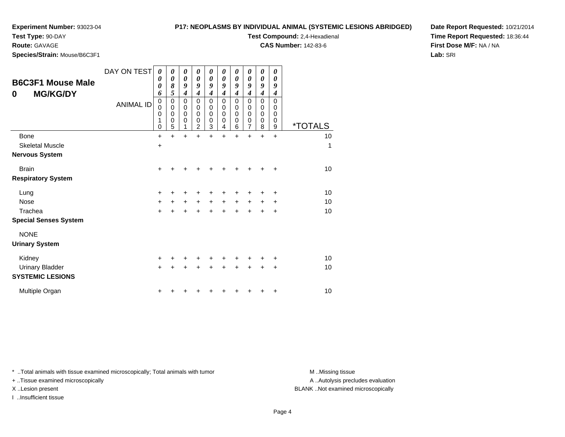### **P17: NEOPLASMS BY INDIVIDUAL ANIMAL (SYSTEMIC LESIONS ABRIDGED)**

**Test Compound:** 2,4-Hexadienal **CAS Number:** 142-83-6

**Test Type:** 90-DAY

**Route:** GAVAGE

**Species/Strain:** Mouse/B6C3F1

**Date Report Requested:** 10/21/2014**Time Report Requested:** 18:36:44**First Dose M/F:** NA / NA**Lab:** SRI

| <b>B6C3F1 Mouse Male</b><br><b>MG/KG/DY</b><br>0                     | DAY ON TEST<br>$\boldsymbol{\theta}$<br>$\boldsymbol{\theta}$<br>0<br>6 |                                         | 0<br>0<br>8<br>5                | 0<br>$\boldsymbol{\theta}$<br>9<br>$\boldsymbol{4}$ | 0<br>0<br>9<br>$\boldsymbol{4}$    | 0<br>0<br>9<br>$\boldsymbol{4}$ | 0<br>0<br>9<br>4      | 0<br>0<br>9<br>$\boldsymbol{4}$ | 0<br>0<br>9<br>$\overline{\boldsymbol{4}}$ | $\boldsymbol{\theta}$<br>$\boldsymbol{\theta}$<br>9<br>$\boldsymbol{4}$ | $\boldsymbol{\theta}$<br>$\boldsymbol{\theta}$<br>9<br>4 |                       |
|----------------------------------------------------------------------|-------------------------------------------------------------------------|-----------------------------------------|---------------------------------|-----------------------------------------------------|------------------------------------|---------------------------------|-----------------------|---------------------------------|--------------------------------------------|-------------------------------------------------------------------------|----------------------------------------------------------|-----------------------|
|                                                                      | <b>ANIMAL ID</b>                                                        | $\pmb{0}$<br>0<br>$\mathbf 0$<br>1<br>0 | $\mathbf 0$<br>0<br>0<br>0<br>5 | $\pmb{0}$<br>$\pmb{0}$<br>$\mathbf 0$<br>0<br>1     | 0<br>0<br>0<br>0<br>$\overline{2}$ | 0<br>0<br>0<br>0<br>3           | 0<br>0<br>0<br>0<br>4 | 0<br>0<br>0<br>0<br>6           | 0<br>0<br>0<br>0<br>7                      | 0<br>$\mathbf 0$<br>$\mathbf 0$<br>0<br>8                               | $\mathbf 0$<br>0<br>0<br>0<br>9                          | <i><b>*TOTALS</b></i> |
| Bone<br><b>Skeletal Muscle</b><br><b>Nervous System</b>              |                                                                         | $\ddot{}$<br>$\ddot{}$                  | +                               | $\ddot{}$                                           |                                    | $\ddot{}$                       | +                     | $\ddot{}$                       | +                                          | $\ddot{}$                                                               | $\ddot{}$                                                | 10<br>1               |
| <b>Brain</b><br><b>Respiratory System</b>                            |                                                                         | $\ddot{}$                               |                                 |                                                     |                                    |                                 |                       |                                 |                                            |                                                                         | ÷                                                        | 10                    |
| Lung<br><b>Nose</b><br>Trachea                                       |                                                                         | $\ddot{}$<br>$\ddot{}$<br>$\ddot{}$     | +                               | $\ddot{}$                                           | $\ddot{}$                          | $\ddot{}$                       | $+$                   | $\ddot{}$                       | $\ddot{}$                                  | $\ddot{}$                                                               | ٠<br>$\ddot{}$<br>+                                      | 10<br>10<br>10        |
| <b>Special Senses System</b><br><b>NONE</b><br><b>Urinary System</b> |                                                                         |                                         |                                 |                                                     |                                    |                                 |                       |                                 |                                            |                                                                         |                                                          |                       |
| Kidney<br><b>Urinary Bladder</b><br><b>SYSTEMIC LESIONS</b>          |                                                                         | +<br>$+$                                | $\ddot{}$                       | $\ddot{}$                                           | +                                  | $\ddot{}$                       | $\div$                | $\div$                          | $\ddot{}$                                  | $\ddot{}$                                                               | +<br>$\ddot{}$                                           | 10<br>10              |
| Multiple Organ                                                       |                                                                         | +                                       |                                 |                                                     |                                    |                                 |                       |                                 |                                            |                                                                         | +                                                        | 10                    |

\* ..Total animals with tissue examined microscopically; Total animals with tumor **M** . Missing tissue M ..Missing tissue

+ ..Tissue examined microscopically

I ..Insufficient tissue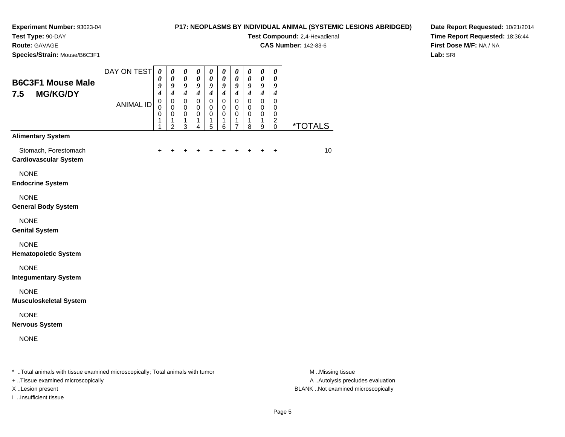#### **P17: NEOPLASMS BY INDIVIDUAL ANIMAL (SYSTEMIC LESIONS ABRIDGED)**

**Test Compound:** 2,4-Hexadienal

**CAS Number:** 142-83-6

**Date Report Requested:** 10/21/2014**Time Report Requested:** 18:36:44**First Dose M/F:** NA / NA**Lab:** SRI

**Test Type:** 90-DAY**Route:** GAVAGE**Species/Strain:** Mouse/B6C3F1

| <b>B6C3F1 Mouse Male</b><br><b>MG/KG/DY</b><br>7.5   | DAY ON TEST<br><b>ANIMAL ID</b> | $\boldsymbol{\theta}$<br>0<br>9<br>$\overline{\boldsymbol{4}}$<br>$\pmb{0}$<br>$\Omega$<br>$\mathbf 0$<br>1<br>1 | $\pmb{\theta}$<br>$\boldsymbol{\theta}$<br>9<br>$\boldsymbol{4}$<br>$\mathbf 0$<br>$\mathbf 0$<br>$\mathbf 0$<br>$\mathbf{1}$<br>$\overline{2}$ | $\boldsymbol{\theta}$<br>$\boldsymbol{\theta}$<br>$\boldsymbol{9}$<br>$\overline{\mathbf{4}}$<br>$\mathsf 0$<br>$\mathbf 0$<br>$\mathbf 0$<br>$\mathbf{1}$<br>3 | $\boldsymbol{\theta}$<br>$\boldsymbol{\theta}$<br>9<br>$\boldsymbol{4}$<br>$\mathsf 0$<br>$\mathbf 0$<br>$\mathbf 0$<br>1<br>4 | $\boldsymbol{\theta}$<br>$\boldsymbol{\theta}$<br>9<br>$\boldsymbol{4}$<br>$\mathbf 0$<br>$\mathbf 0$<br>$\mathbf 0$<br>$\mathbf{1}$<br>5 | $\pmb{\theta}$<br>$\boldsymbol{\theta}$<br>9<br>$\boldsymbol{4}$<br>$\mathbf 0$<br>$\pmb{0}$<br>$\pmb{0}$<br>$\mathbf{1}$<br>6 | $\pmb{\theta}$<br>$\boldsymbol{\theta}$<br>9<br>$\boldsymbol{4}$<br>$\mathbf 0$<br>$\pmb{0}$<br>$\mathbf 0$<br>$\mathbf{1}$<br>$\overline{7}$ | $\pmb{\theta}$<br>$\boldsymbol{\theta}$<br>9<br>$\boldsymbol{4}$<br>$\mathbf 0$<br>$\mathbf 0$<br>$\mathbf 0$<br>$\mathbf{1}$<br>8 | $\pmb{\theta}$<br>$\boldsymbol{\theta}$<br>$\boldsymbol{g}$<br>$\boldsymbol{4}$<br>$\mathbf 0$<br>$\mathbf 0$<br>$\mathbf 0$<br>$\mathbf{1}$<br>9 | $\boldsymbol{\theta}$<br>$\boldsymbol{\theta}$<br>9<br>$\boldsymbol{4}$<br>$\mathbf 0$<br>$\mathbf 0$<br>$\mathbf 0$<br>$\overline{c}$<br>$\Omega$ | <i><b>*TOTALS</b></i> |
|------------------------------------------------------|---------------------------------|------------------------------------------------------------------------------------------------------------------|-------------------------------------------------------------------------------------------------------------------------------------------------|-----------------------------------------------------------------------------------------------------------------------------------------------------------------|--------------------------------------------------------------------------------------------------------------------------------|-------------------------------------------------------------------------------------------------------------------------------------------|--------------------------------------------------------------------------------------------------------------------------------|-----------------------------------------------------------------------------------------------------------------------------------------------|------------------------------------------------------------------------------------------------------------------------------------|---------------------------------------------------------------------------------------------------------------------------------------------------|----------------------------------------------------------------------------------------------------------------------------------------------------|-----------------------|
| <b>Alimentary System</b>                             |                                 |                                                                                                                  |                                                                                                                                                 |                                                                                                                                                                 |                                                                                                                                |                                                                                                                                           |                                                                                                                                |                                                                                                                                               |                                                                                                                                    |                                                                                                                                                   |                                                                                                                                                    |                       |
| Stomach, Forestomach<br><b>Cardiovascular System</b> |                                 |                                                                                                                  |                                                                                                                                                 |                                                                                                                                                                 | +                                                                                                                              | ٠                                                                                                                                         |                                                                                                                                | $\ddot{}$                                                                                                                                     | $\ddot{}$                                                                                                                          | $\ddot{}$                                                                                                                                         | $\ddot{}$                                                                                                                                          | 10                    |
| <b>NONE</b><br><b>Endocrine System</b>               |                                 |                                                                                                                  |                                                                                                                                                 |                                                                                                                                                                 |                                                                                                                                |                                                                                                                                           |                                                                                                                                |                                                                                                                                               |                                                                                                                                    |                                                                                                                                                   |                                                                                                                                                    |                       |
| <b>NONE</b><br><b>General Body System</b>            |                                 |                                                                                                                  |                                                                                                                                                 |                                                                                                                                                                 |                                                                                                                                |                                                                                                                                           |                                                                                                                                |                                                                                                                                               |                                                                                                                                    |                                                                                                                                                   |                                                                                                                                                    |                       |
| <b>NONE</b><br><b>Genital System</b>                 |                                 |                                                                                                                  |                                                                                                                                                 |                                                                                                                                                                 |                                                                                                                                |                                                                                                                                           |                                                                                                                                |                                                                                                                                               |                                                                                                                                    |                                                                                                                                                   |                                                                                                                                                    |                       |
| <b>NONE</b><br><b>Hematopoietic System</b>           |                                 |                                                                                                                  |                                                                                                                                                 |                                                                                                                                                                 |                                                                                                                                |                                                                                                                                           |                                                                                                                                |                                                                                                                                               |                                                                                                                                    |                                                                                                                                                   |                                                                                                                                                    |                       |
| <b>NONE</b><br><b>Integumentary System</b>           |                                 |                                                                                                                  |                                                                                                                                                 |                                                                                                                                                                 |                                                                                                                                |                                                                                                                                           |                                                                                                                                |                                                                                                                                               |                                                                                                                                    |                                                                                                                                                   |                                                                                                                                                    |                       |
| <b>NONE</b><br><b>Musculoskeletal System</b>         |                                 |                                                                                                                  |                                                                                                                                                 |                                                                                                                                                                 |                                                                                                                                |                                                                                                                                           |                                                                                                                                |                                                                                                                                               |                                                                                                                                    |                                                                                                                                                   |                                                                                                                                                    |                       |
| <b>NONE</b><br><b>Nervous System</b>                 |                                 |                                                                                                                  |                                                                                                                                                 |                                                                                                                                                                 |                                                                                                                                |                                                                                                                                           |                                                                                                                                |                                                                                                                                               |                                                                                                                                    |                                                                                                                                                   |                                                                                                                                                    |                       |
| <b>NONE</b>                                          |                                 |                                                                                                                  |                                                                                                                                                 |                                                                                                                                                                 |                                                                                                                                |                                                                                                                                           |                                                                                                                                |                                                                                                                                               |                                                                                                                                    |                                                                                                                                                   |                                                                                                                                                    |                       |
|                                                      |                                 |                                                                                                                  |                                                                                                                                                 |                                                                                                                                                                 |                                                                                                                                |                                                                                                                                           |                                                                                                                                |                                                                                                                                               |                                                                                                                                    |                                                                                                                                                   |                                                                                                                                                    |                       |

\* ..Total animals with tissue examined microscopically; Total animals with tumor **M** ...Missing tissue M ...Missing tissue

+ ..Tissue examined microscopically

I ..Insufficient tissue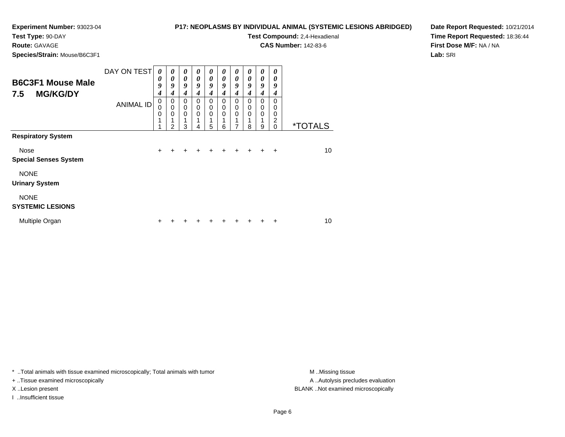**Test Type:** 90-DAY

# **Route:** GAVAGE

**Species/Strain:** Mouse/B6C3F1

**P17: NEOPLASMS BY INDIVIDUAL ANIMAL (SYSTEMIC LESIONS ABRIDGED)**

**Test Compound:** 2,4-Hexadienal

**CAS Number:** 142-83-6

**Date Report Requested:** 10/21/2014**Time Report Requested:** 18:36:44**First Dose M/F:** NA / NA**Lab:** SRI

| <b>B6C3F1 Mouse Male</b><br><b>MG/KG/DY</b><br>7.5<br><b>Respiratory System</b> | DAY ON TEST      | $\boldsymbol{\theta}$<br>0<br>9<br>4 | 0<br>$\theta$<br>9<br>4    | $\boldsymbol{\theta}$<br>$\boldsymbol{\theta}$<br>9<br>4 | $\boldsymbol{\theta}$<br>$\theta$<br>9<br>4 | $\boldsymbol{\theta}$<br>$\boldsymbol{\theta}$<br>9<br>4 | 0<br>0<br>9<br>4           | 0<br>0<br>9<br>4 | 0<br>0<br>9<br>4 | 0<br>0<br>9<br>4 | 0<br>0<br>9<br>4                    |                       |
|---------------------------------------------------------------------------------|------------------|--------------------------------------|----------------------------|----------------------------------------------------------|---------------------------------------------|----------------------------------------------------------|----------------------------|------------------|------------------|------------------|-------------------------------------|-----------------------|
|                                                                                 | <b>ANIMAL ID</b> | 0<br>0<br>0<br>1                     | 0<br>$\mathbf 0$<br>0<br>2 | $\mathbf 0$<br>$\mathbf 0$<br>$\mathbf 0$<br>1<br>3      | $\Omega$<br>$\mathbf 0$<br>$\Omega$<br>4    | 0<br>$\mathbf 0$<br>$\mathbf 0$<br>1<br>5                | $\mathbf 0$<br>0<br>0<br>6 | 0<br>0<br>0<br>7 | 0<br>0<br>0<br>8 | 0<br>0<br>0<br>9 | $\Omega$<br>0<br>0<br>2<br>$\Omega$ | <i><b>*TOTALS</b></i> |
|                                                                                 |                  |                                      |                            |                                                          |                                             |                                                          |                            |                  |                  |                  |                                     |                       |
| Nose<br><b>Special Senses System</b>                                            |                  | $\ddot{}$                            |                            |                                                          |                                             |                                                          |                            | +                | +                | +                | $\div$                              | 10                    |
| <b>NONE</b><br><b>Urinary System</b>                                            |                  |                                      |                            |                                                          |                                             |                                                          |                            |                  |                  |                  |                                     |                       |
| <b>NONE</b><br><b>SYSTEMIC LESIONS</b>                                          |                  |                                      |                            |                                                          |                                             |                                                          |                            |                  |                  |                  |                                     |                       |
| Multiple Organ                                                                  |                  | ٠                                    |                            |                                                          |                                             |                                                          |                            |                  |                  |                  | +                                   | 10                    |

\* ..Total animals with tissue examined microscopically; Total animals with tumor **M** . Missing tissue M ..Missing tissue

+ ..Tissue examined microscopically

I ..Insufficient tissue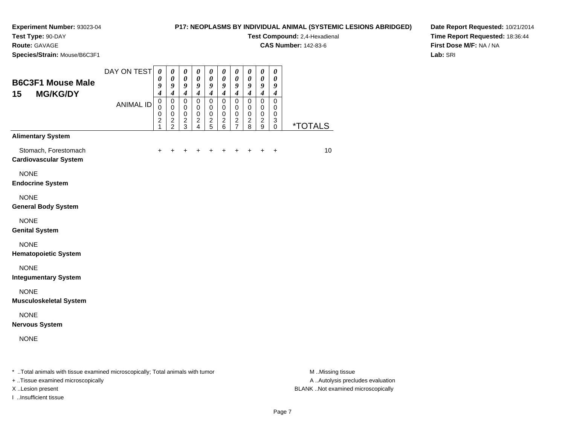### **P17: NEOPLASMS BY INDIVIDUAL ANIMAL (SYSTEMIC LESIONS ABRIDGED)Test Compound:** 2,4-Hexadienal

**CAS Number:** 142-83-6

**Route:** GAVAGE

**Species/Strain:** Mouse/B6C3F1

**Date Report Requested:** 10/21/2014**Time Report Requested:** 18:36:44**First Dose M/F:** NA / NA**Lab:** SRI

| <b>B6C3F1 Mouse Male</b><br>15<br><b>MG/KG/DY</b>                                | DAY ON TEST<br><b>ANIMAL ID</b> | $\boldsymbol{\theta}$<br>$\boldsymbol{\theta}$<br>9<br>$\overline{\boldsymbol{4}}$<br>$\pmb{0}$<br>$\mathbf 0$<br>$\mathbf 0$<br>$\boldsymbol{2}$<br>$\mathbf{1}$ | $\boldsymbol{\theta}$<br>$\boldsymbol{\theta}$<br>9<br>$\boldsymbol{4}$<br>$\mathbf 0$<br>0<br>$\pmb{0}$<br>$\frac{2}{2}$ | 0<br>$\pmb{\theta}$<br>$\boldsymbol{g}$<br>$\boldsymbol{4}$<br>$\pmb{0}$<br>0<br>$\pmb{0}$<br>$\frac{2}{3}$ | $\boldsymbol{\theta}$<br>$\pmb{\theta}$<br>9<br>$\overline{\boldsymbol{4}}$<br>$\pmb{0}$<br>0<br>$\pmb{0}$<br>$\boldsymbol{2}$<br>$\overline{4}$ | $\pmb{\theta}$<br>$\pmb{\theta}$<br>$\boldsymbol{g}$<br>$\boldsymbol{4}$<br>$\mathbf 0$<br>0<br>$\pmb{0}$<br>$\frac{2}{5}$ | 0<br>$\pmb{\theta}$<br>9<br>$\boldsymbol{4}$<br>$\mathbf 0$<br>0<br>$\mathbf 0$<br>$\overline{c}$<br>6 | 0<br>$\pmb{\theta}$<br>9<br>$\boldsymbol{4}$<br>$\pmb{0}$<br>0<br>$\pmb{0}$<br>$\frac{2}{7}$ | $\boldsymbol{\theta}$<br>$\pmb{\theta}$<br>9<br>$\boldsymbol{4}$<br>$\pmb{0}$<br>0<br>$\mathbf 0$<br>$\overline{c}$<br>$\overline{8}$ | 0<br>$\pmb{\theta}$<br>9<br>$\boldsymbol{4}$<br>0<br>0<br>$\pmb{0}$<br>$\frac{2}{9}$ | 0<br>$\pmb{\theta}$<br>9<br>$\boldsymbol{4}$<br>$\pmb{0}$<br>0<br>$\mathbf 0$<br>3<br>$\mathbf 0$ | *TOTALS |
|----------------------------------------------------------------------------------|---------------------------------|-------------------------------------------------------------------------------------------------------------------------------------------------------------------|---------------------------------------------------------------------------------------------------------------------------|-------------------------------------------------------------------------------------------------------------|--------------------------------------------------------------------------------------------------------------------------------------------------|----------------------------------------------------------------------------------------------------------------------------|--------------------------------------------------------------------------------------------------------|----------------------------------------------------------------------------------------------|---------------------------------------------------------------------------------------------------------------------------------------|--------------------------------------------------------------------------------------|---------------------------------------------------------------------------------------------------|---------|
| <b>Alimentary System</b><br>Stomach, Forestomach<br><b>Cardiovascular System</b> |                                 | +                                                                                                                                                                 | $\ddot{}$                                                                                                                 | $\ddot{}$                                                                                                   | +                                                                                                                                                |                                                                                                                            | +                                                                                                      | +                                                                                            | $\pm$                                                                                                                                 | $\ddot{}$                                                                            | $\ddot{}$                                                                                         | 10      |
| <b>NONE</b><br><b>Endocrine System</b>                                           |                                 |                                                                                                                                                                   |                                                                                                                           |                                                                                                             |                                                                                                                                                  |                                                                                                                            |                                                                                                        |                                                                                              |                                                                                                                                       |                                                                                      |                                                                                                   |         |
| <b>NONE</b><br><b>General Body System</b>                                        |                                 |                                                                                                                                                                   |                                                                                                                           |                                                                                                             |                                                                                                                                                  |                                                                                                                            |                                                                                                        |                                                                                              |                                                                                                                                       |                                                                                      |                                                                                                   |         |
| <b>NONE</b><br><b>Genital System</b>                                             |                                 |                                                                                                                                                                   |                                                                                                                           |                                                                                                             |                                                                                                                                                  |                                                                                                                            |                                                                                                        |                                                                                              |                                                                                                                                       |                                                                                      |                                                                                                   |         |
| <b>NONE</b><br><b>Hematopoietic System</b>                                       |                                 |                                                                                                                                                                   |                                                                                                                           |                                                                                                             |                                                                                                                                                  |                                                                                                                            |                                                                                                        |                                                                                              |                                                                                                                                       |                                                                                      |                                                                                                   |         |
| <b>NONE</b><br><b>Integumentary System</b>                                       |                                 |                                                                                                                                                                   |                                                                                                                           |                                                                                                             |                                                                                                                                                  |                                                                                                                            |                                                                                                        |                                                                                              |                                                                                                                                       |                                                                                      |                                                                                                   |         |
| <b>NONE</b><br><b>Musculoskeletal System</b>                                     |                                 |                                                                                                                                                                   |                                                                                                                           |                                                                                                             |                                                                                                                                                  |                                                                                                                            |                                                                                                        |                                                                                              |                                                                                                                                       |                                                                                      |                                                                                                   |         |
| <b>NONE</b><br><b>Nervous System</b>                                             |                                 |                                                                                                                                                                   |                                                                                                                           |                                                                                                             |                                                                                                                                                  |                                                                                                                            |                                                                                                        |                                                                                              |                                                                                                                                       |                                                                                      |                                                                                                   |         |
| <b>NONE</b>                                                                      |                                 |                                                                                                                                                                   |                                                                                                                           |                                                                                                             |                                                                                                                                                  |                                                                                                                            |                                                                                                        |                                                                                              |                                                                                                                                       |                                                                                      |                                                                                                   |         |

\* ..Total animals with tissue examined microscopically; Total animals with tumor **M** . Missing tissue M ..Missing tissue

+ ..Tissue examined microscopically

I ..Insufficient tissue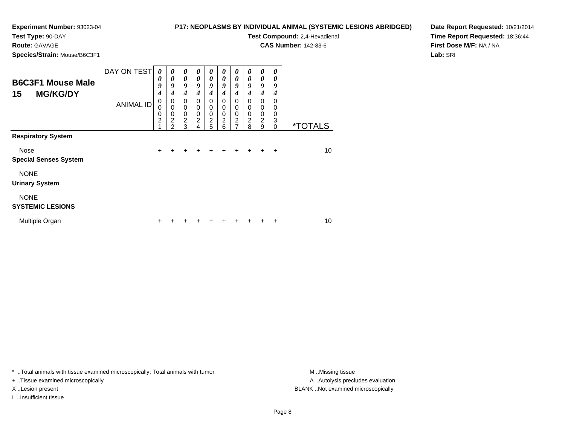#### **P17: NEOPLASMS BY INDIVIDUAL ANIMAL (SYSTEMIC LESIONS ABRIDGED)**

**Test Compound:** 2,4-Hexadienal **CAS Number:** 142-83-6

**Test Type:** 90-DAY

**Route:** GAVAGE

**Species/Strain:** Mouse/B6C3F1

**Date Report Requested:** 10/21/2014**Time Report Requested:** 18:36:44**First Dose M/F:** NA / NA**Lab:** SRI

| <b>B6C3F1 Mouse Male</b><br>15<br><b>MG/KG/DY</b><br><b>Respiratory System</b> | DAY ON TEST      | 0<br>0<br>9<br>4                   | 0<br>$\boldsymbol{\theta}$<br>9<br>4                                         | $\boldsymbol{\theta}$<br>$\boldsymbol{\theta}$<br>9<br>4 | 0<br>$\boldsymbol{\theta}$<br>9<br>$\boldsymbol{4}$    | 0<br>$\boldsymbol{\theta}$<br>9<br>4         | 0<br>0<br>9<br>4                             | 0<br>0<br>9<br>4                                | 0<br>0<br>9<br>4      | $\boldsymbol{\theta}$<br>0<br>9<br>4 | 0<br>0<br>9<br>4             |                       |
|--------------------------------------------------------------------------------|------------------|------------------------------------|------------------------------------------------------------------------------|----------------------------------------------------------|--------------------------------------------------------|----------------------------------------------|----------------------------------------------|-------------------------------------------------|-----------------------|--------------------------------------|------------------------------|-----------------------|
|                                                                                | <b>ANIMAL ID</b> | 0<br>0<br>0<br>$\overline{c}$<br>4 | 0<br>$\mathbf 0$<br>$\mathbf 0$<br>$\overline{\mathbf{c}}$<br>$\mathfrak{p}$ | 0<br>$\mathbf 0$<br>$\mathbf 0$<br>$\overline{2}$<br>3   | 0<br>$\mathbf 0$<br>$\mathbf 0$<br>$\overline{c}$<br>4 | 0<br>0<br>$\mathbf 0$<br>$\overline{c}$<br>5 | 0<br>0<br>$\mathbf 0$<br>$\overline{c}$<br>6 | 0<br>0<br>0<br>$\overline{c}$<br>$\overline{7}$ | 0<br>0<br>0<br>2<br>8 | 0<br>0<br>0<br>$\boldsymbol{2}$<br>9 | 0<br>0<br>0<br>3<br>$\Omega$ | <i><b>*TOTALS</b></i> |
|                                                                                |                  |                                    |                                                                              |                                                          |                                                        |                                              |                                              |                                                 |                       |                                      |                              |                       |
| Nose<br><b>Special Senses System</b>                                           |                  | $\ddot{}$                          | +                                                                            | ٠                                                        | ٠                                                      | ÷                                            | ÷                                            | ÷                                               | ÷                     | ÷                                    | $\div$                       | 10                    |
| <b>NONE</b><br><b>Urinary System</b>                                           |                  |                                    |                                                                              |                                                          |                                                        |                                              |                                              |                                                 |                       |                                      |                              |                       |
| <b>NONE</b><br><b>SYSTEMIC LESIONS</b>                                         |                  |                                    |                                                                              |                                                          |                                                        |                                              |                                              |                                                 |                       |                                      |                              |                       |
| Multiple Organ                                                                 |                  | ٠                                  |                                                                              |                                                          |                                                        |                                              |                                              |                                                 |                       |                                      | +                            | 10                    |

\* ..Total animals with tissue examined microscopically; Total animals with tumor **M** . Missing tissue M ..Missing tissue

+ ..Tissue examined microscopically

I ..Insufficient tissue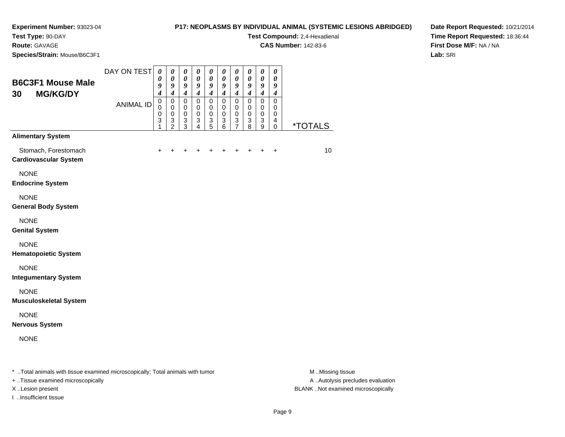#### **P17: NEOPLASMS BY INDIVIDUAL ANIMAL (SYSTEMIC LESIONS ABRIDGED)**

**Test Compound:** 2,4-Hexadienal

**CAS Number:** 142-83-6

**Date Report Requested:** 10/21/2014**Time Report Requested:** 18:36:44**First Dose M/F:** NA / NA**Lab:** SRI

**Test Type:** 90-DAY**Route:** GAVAGE**Species/Strain:** Mouse/B6C3F1

| <b>B6C3F1 Mouse Male</b><br><b>MG/KG/DY</b><br>30    | DAY ON TEST      | $\boldsymbol{\theta}$<br>0<br>9<br>$\overline{\boldsymbol{4}}$            | $\pmb{\theta}$<br>$\boldsymbol{\theta}$<br>9<br>$\boldsymbol{4}$                     | $\boldsymbol{\theta}$<br>$\boldsymbol{\theta}$<br>9<br>$\boldsymbol{4}$ | $\boldsymbol{\theta}$<br>$\boldsymbol{\theta}$<br>9<br>$\boldsymbol{4}$     | $\boldsymbol{\theta}$<br>$\boldsymbol{\theta}$<br>9<br>$\boldsymbol{4}$ | $\boldsymbol{\theta}$<br>$\boldsymbol{\theta}$<br>9<br>$\boldsymbol{4}$ | $\pmb{\theta}$<br>$\boldsymbol{\theta}$<br>9<br>$\boldsymbol{4}$ | $\pmb{\theta}$<br>$\boldsymbol{\theta}$<br>9<br>$\boldsymbol{4}$          | $\pmb{\theta}$<br>$\boldsymbol{\theta}$<br>9<br>$\boldsymbol{4}$ | $\pmb{\theta}$<br>$\boldsymbol{\theta}$<br>9<br>$\boldsymbol{4}$ |                       |
|------------------------------------------------------|------------------|---------------------------------------------------------------------------|--------------------------------------------------------------------------------------|-------------------------------------------------------------------------|-----------------------------------------------------------------------------|-------------------------------------------------------------------------|-------------------------------------------------------------------------|------------------------------------------------------------------|---------------------------------------------------------------------------|------------------------------------------------------------------|------------------------------------------------------------------|-----------------------|
|                                                      | <b>ANIMAL ID</b> | $\pmb{0}$<br>$\mathbf 0$<br>$\mathbf 0$<br>$\ensuremath{\mathsf{3}}$<br>1 | $\pmb{0}$<br>$\mathbf 0$<br>$\pmb{0}$<br>$\ensuremath{\mathsf{3}}$<br>$\overline{2}$ | $\pmb{0}$<br>$\mathbf 0$<br>$\mathbf 0$<br>$\sqrt{3}$<br>3              | $\mathbf 0$<br>$\mathbf 0$<br>$\mathbf 0$<br>$\ensuremath{\mathsf{3}}$<br>4 | $\pmb{0}$<br>$\mathbf 0$<br>$\mathbf 0$<br>$\sqrt{3}$<br>5              | $\pmb{0}$<br>$\mathbf 0$<br>$\pmb{0}$<br>$\ensuremath{\mathsf{3}}$<br>6 | $\pmb{0}$<br>$\pmb{0}$<br>$_{3}^{\rm 0}$<br>$\overline{7}$       | $\pmb{0}$<br>$\mathbf 0$<br>$\mathbf 0$<br>$\ensuremath{\mathsf{3}}$<br>8 | $\mathsf 0$<br>$\mathbf 0$<br>$\pmb{0}$<br>$\mathbf 3$<br>9      | $\mathbf 0$<br>$\mathbf 0$<br>$\mathbf 0$<br>4<br>$\mathbf 0$    | <i><b>*TOTALS</b></i> |
| <b>Alimentary System</b>                             |                  |                                                                           |                                                                                      |                                                                         |                                                                             |                                                                         |                                                                         |                                                                  |                                                                           |                                                                  |                                                                  |                       |
| Stomach, Forestomach<br><b>Cardiovascular System</b> |                  |                                                                           |                                                                                      |                                                                         | +                                                                           | +                                                                       | +                                                                       | $\pm$                                                            | $\ddot{}$                                                                 | ÷                                                                | +                                                                | 10                    |
| <b>NONE</b><br><b>Endocrine System</b>               |                  |                                                                           |                                                                                      |                                                                         |                                                                             |                                                                         |                                                                         |                                                                  |                                                                           |                                                                  |                                                                  |                       |
| <b>NONE</b><br><b>General Body System</b>            |                  |                                                                           |                                                                                      |                                                                         |                                                                             |                                                                         |                                                                         |                                                                  |                                                                           |                                                                  |                                                                  |                       |
| <b>NONE</b><br><b>Genital System</b>                 |                  |                                                                           |                                                                                      |                                                                         |                                                                             |                                                                         |                                                                         |                                                                  |                                                                           |                                                                  |                                                                  |                       |
| <b>NONE</b><br><b>Hematopoietic System</b>           |                  |                                                                           |                                                                                      |                                                                         |                                                                             |                                                                         |                                                                         |                                                                  |                                                                           |                                                                  |                                                                  |                       |
| <b>NONE</b><br><b>Integumentary System</b>           |                  |                                                                           |                                                                                      |                                                                         |                                                                             |                                                                         |                                                                         |                                                                  |                                                                           |                                                                  |                                                                  |                       |
| <b>NONE</b><br><b>Musculoskeletal System</b>         |                  |                                                                           |                                                                                      |                                                                         |                                                                             |                                                                         |                                                                         |                                                                  |                                                                           |                                                                  |                                                                  |                       |
| <b>NONE</b><br><b>Nervous System</b>                 |                  |                                                                           |                                                                                      |                                                                         |                                                                             |                                                                         |                                                                         |                                                                  |                                                                           |                                                                  |                                                                  |                       |
| <b>NONE</b>                                          |                  |                                                                           |                                                                                      |                                                                         |                                                                             |                                                                         |                                                                         |                                                                  |                                                                           |                                                                  |                                                                  |                       |
|                                                      |                  |                                                                           |                                                                                      |                                                                         |                                                                             |                                                                         |                                                                         |                                                                  |                                                                           |                                                                  |                                                                  |                       |

\* ..Total animals with tissue examined microscopically; Total animals with tumor **M** ...Missing tissue M ...Missing tissue

+ ..Tissue examined microscopically

I ..Insufficient tissue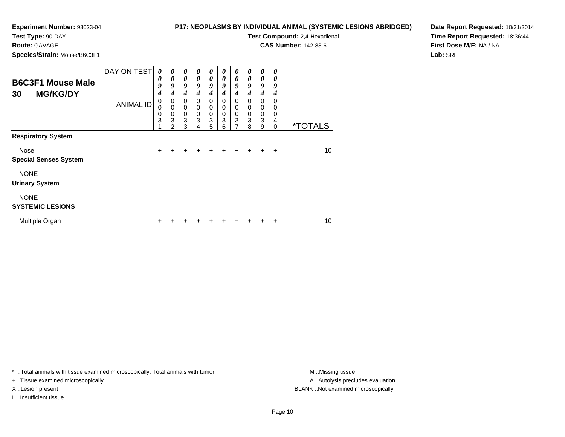#### **P17: NEOPLASMS BY INDIVIDUAL ANIMAL (SYSTEMIC LESIONS ABRIDGED)**

**Test Compound:** 2,4-Hexadienal **CAS Number:** 142-83-6

**Test Type:** 90-DAY

**Route:** GAVAGE

**Species/Strain:** Mouse/B6C3F1

**Date Report Requested:** 10/21/2014**Time Report Requested:** 18:36:44**First Dose M/F:** NA / NA

**Lab:** SRI

| <b>B6C3F1 Mouse Male</b><br><b>MG/KG/DY</b><br>30<br><b>Respiratory System</b> | DAY ON TEST      | $\boldsymbol{\theta}$<br>0<br>9<br>4 | 0<br>$\theta$<br>9<br>4                      | 0<br>$\boldsymbol{\theta}$<br>9<br>$\boldsymbol{4}$ | 0<br>$\theta$<br>9<br>4 | 0<br>$\boldsymbol{\theta}$<br>9<br>$\boldsymbol{4}$ | 0<br>$\boldsymbol{\theta}$<br>9<br>4 | 0<br>$\boldsymbol{\theta}$<br>9<br>4                               | 0<br>0<br>9<br>4      | 0<br>0<br>9<br>4      | 0<br>0<br>9<br>4             |                       |
|--------------------------------------------------------------------------------|------------------|--------------------------------------|----------------------------------------------|-----------------------------------------------------|-------------------------|-----------------------------------------------------|--------------------------------------|--------------------------------------------------------------------|-----------------------|-----------------------|------------------------------|-----------------------|
|                                                                                | <b>ANIMAL ID</b> | 0<br>0<br>0<br>3                     | 0<br>$\mathbf 0$<br>0<br>3<br>$\mathfrak{p}$ | $\mathbf 0$<br>$\mathbf 0$<br>$\pmb{0}$<br>3<br>3   | $\Omega$<br>0<br>0<br>3 | 0<br>0<br>$\pmb{0}$<br>3<br>5                       | 0<br>0<br>0<br>3<br>6                | 0<br>0<br>$\pmb{0}$<br>$\ensuremath{\mathsf{3}}$<br>$\overline{7}$ | 0<br>0<br>0<br>3<br>8 | 0<br>0<br>0<br>3<br>9 | 0<br>0<br>0<br>4<br>$\Omega$ | <i><b>*TOTALS</b></i> |
|                                                                                |                  |                                      |                                              |                                                     |                         |                                                     |                                      |                                                                    |                       |                       |                              |                       |
| Nose<br><b>Special Senses System</b>                                           |                  | $\ddot{}$                            |                                              |                                                     |                         |                                                     |                                      |                                                                    |                       |                       | $\div$                       | 10                    |
| <b>NONE</b><br><b>Urinary System</b>                                           |                  |                                      |                                              |                                                     |                         |                                                     |                                      |                                                                    |                       |                       |                              |                       |
| <b>NONE</b><br><b>SYSTEMIC LESIONS</b>                                         |                  |                                      |                                              |                                                     |                         |                                                     |                                      |                                                                    |                       |                       |                              |                       |
| Multiple Organ                                                                 |                  | ٠                                    |                                              |                                                     |                         |                                                     |                                      |                                                                    |                       |                       | ٠                            | 10                    |

\* ..Total animals with tissue examined microscopically; Total animals with tumor **M** . Missing tissue M ..Missing tissue

+ ..Tissue examined microscopically

I ..Insufficient tissue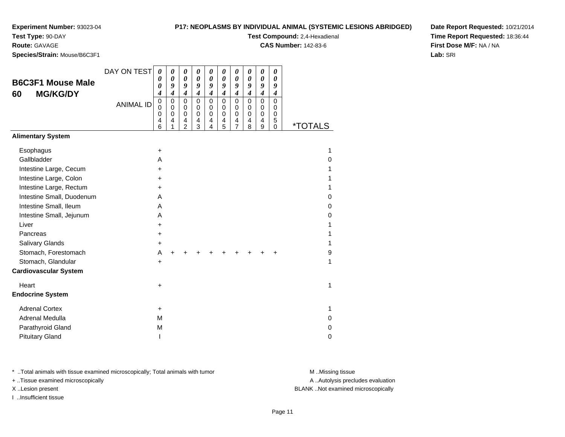**Route:** GAVAGE

#### **P17: NEOPLASMS BY INDIVIDUAL ANIMAL (SYSTEMIC LESIONS ABRIDGED)**

**Test Compound:** 2,4-Hexadienal

**CAS Number:** 142-83-6

**Species/Strain:** Mouse/B6C3F1

**Date Report Requested:** 10/21/2014**Time Report Requested:** 18:36:44**First Dose M/F:** NA / NA**Lab:** SRI

|                              | DAY ON TEST      | $\boldsymbol{\theta}$   | $\boldsymbol{\theta}$      | $\boldsymbol{\theta}$      | $\boldsymbol{\theta}$        | 0                       | 0                          | 0                          | 0                | 0                          | 0                       |                       |
|------------------------------|------------------|-------------------------|----------------------------|----------------------------|------------------------------|-------------------------|----------------------------|----------------------------|------------------|----------------------------|-------------------------|-----------------------|
| <b>B6C3F1 Mouse Male</b>     |                  | 0<br>0                  | $\boldsymbol{\theta}$<br>9 | $\boldsymbol{\theta}$<br>9 | $\boldsymbol{\theta}$<br>9   | 0<br>9                  | $\boldsymbol{\theta}$<br>9 | $\boldsymbol{\theta}$<br>9 | 0<br>9           | $\boldsymbol{\theta}$<br>9 | 0<br>9                  |                       |
| <b>MG/KG/DY</b><br>60        |                  | 4                       | $\boldsymbol{4}$           | $\boldsymbol{4}$           | $\boldsymbol{4}$             | $\boldsymbol{4}$        | $\boldsymbol{4}$           | $\boldsymbol{4}$           | $\boldsymbol{4}$ | $\boldsymbol{4}$           | $\boldsymbol{4}$        |                       |
|                              | <b>ANIMAL ID</b> | $\mathbf 0$<br>$\Omega$ | 0<br>$\mathbf 0$           | $\mathbf 0$<br>$\Omega$    | $\mathbf 0$                  | $\mathbf 0$<br>$\Omega$ | $\pmb{0}$<br>0             | 0<br>$\Omega$              | $\mathbf 0$<br>0 | $\mathbf 0$<br>$\Omega$    | $\mathbf 0$<br>$\Omega$ |                       |
|                              |                  | 0                       | $\mathbf 0$                | $\mathbf 0$                | 0<br>$\pmb{0}$               | $\mathbf 0$             | $\mathbf 0$                | 0                          | $\mathbf 0$      | $\mathbf 0$                | 0                       |                       |
|                              |                  | 4<br>6                  | 4<br>1                     | 4<br>$\overline{2}$        | $\overline{\mathbf{4}}$<br>3 | 4<br>4                  | 4<br>5                     | 4<br>7                     | 4<br>8           | 4<br>9                     | 5<br>$\mathbf 0$        | <i><b>*TOTALS</b></i> |
| <b>Alimentary System</b>     |                  |                         |                            |                            |                              |                         |                            |                            |                  |                            |                         |                       |
| Esophagus                    |                  | $\ddot{}$               |                            |                            |                              |                         |                            |                            |                  |                            |                         | 1                     |
| Gallbladder                  |                  | A                       |                            |                            |                              |                         |                            |                            |                  |                            |                         | 0                     |
| Intestine Large, Cecum       |                  | $\ddot{}$               |                            |                            |                              |                         |                            |                            |                  |                            |                         | 1                     |
| Intestine Large, Colon       |                  | $\pm$                   |                            |                            |                              |                         |                            |                            |                  |                            |                         | 1                     |
| Intestine Large, Rectum      |                  | +                       |                            |                            |                              |                         |                            |                            |                  |                            |                         | 1                     |
| Intestine Small, Duodenum    |                  | A                       |                            |                            |                              |                         |                            |                            |                  |                            |                         | 0                     |
| Intestine Small, Ileum       |                  | A                       |                            |                            |                              |                         |                            |                            |                  |                            |                         | $\mathbf 0$           |
| Intestine Small, Jejunum     |                  | A                       |                            |                            |                              |                         |                            |                            |                  |                            |                         | 0                     |
| Liver                        |                  | $\pm$                   |                            |                            |                              |                         |                            |                            |                  |                            |                         | 1                     |
| Pancreas                     |                  | $\ddot{}$               |                            |                            |                              |                         |                            |                            |                  |                            |                         | 1                     |
| <b>Salivary Glands</b>       |                  | $\ddot{}$               |                            |                            |                              |                         |                            |                            |                  |                            |                         | 1                     |
| Stomach, Forestomach         |                  | A                       | $\ddot{}$                  |                            |                              |                         |                            |                            |                  |                            | +                       | 9                     |
| Stomach, Glandular           |                  | $\ddot{}$               |                            |                            |                              |                         |                            |                            |                  |                            |                         | 1                     |
| <b>Cardiovascular System</b> |                  |                         |                            |                            |                              |                         |                            |                            |                  |                            |                         |                       |
| Heart                        |                  | +                       |                            |                            |                              |                         |                            |                            |                  |                            |                         | 1                     |
| <b>Endocrine System</b>      |                  |                         |                            |                            |                              |                         |                            |                            |                  |                            |                         |                       |
| <b>Adrenal Cortex</b>        |                  | $\ddot{}$               |                            |                            |                              |                         |                            |                            |                  |                            |                         | 1                     |
| Adrenal Medulla              |                  | M                       |                            |                            |                              |                         |                            |                            |                  |                            |                         | 0                     |
| Parathyroid Gland            |                  | M                       |                            |                            |                              |                         |                            |                            |                  |                            |                         | 0                     |
| <b>Pituitary Gland</b>       |                  |                         |                            |                            |                              |                         |                            |                            |                  |                            |                         | 0                     |

\* ..Total animals with tissue examined microscopically; Total animals with tumor **M** . Missing tissue M ..Missing tissue

+ ..Tissue examined microscopically

I ..Insufficient tissue

A ..Autolysis precludes evaluation

X ..Lesion present BLANK ..Not examined microscopically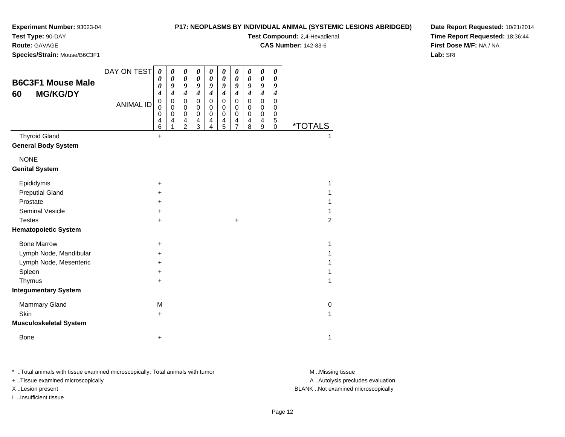#### **P17: NEOPLASMS BY INDIVIDUAL ANIMAL (SYSTEMIC LESIONS ABRIDGED)**

**Test Compound:** 2,4-Hexadienal

**CAS Number:** 142-83-6

**Date Report Requested:** 10/21/2014**Time Report Requested:** 18:36:44**First Dose M/F:** NA / NA**Lab:** SRI

**Route:** GAVAGE

| Species/Strain: Mouse/B6C3F1                       |                  |                                      |                                                                  |                                                                              |                                                                  |                                              |                                                     |                                                        |                                                                         |                                                           |                                      |                       |  |
|----------------------------------------------------|------------------|--------------------------------------|------------------------------------------------------------------|------------------------------------------------------------------------------|------------------------------------------------------------------|----------------------------------------------|-----------------------------------------------------|--------------------------------------------------------|-------------------------------------------------------------------------|-----------------------------------------------------------|--------------------------------------|-----------------------|--|
| <b>B6C3F1 Mouse Male</b><br><b>MG/KG/DY</b><br>60  | DAY ON TEST      | 0<br>$\boldsymbol{\theta}$<br>0<br>4 | $\pmb{\theta}$<br>$\boldsymbol{\theta}$<br>9<br>$\boldsymbol{4}$ | 0<br>$\pmb{\theta}$<br>9<br>$\boldsymbol{4}$                                 | $\pmb{\theta}$<br>$\boldsymbol{\theta}$<br>9<br>$\boldsymbol{4}$ | 0<br>$\pmb{\theta}$<br>9<br>$\boldsymbol{4}$ | 0<br>$\boldsymbol{\theta}$<br>9<br>$\boldsymbol{4}$ | 0<br>$\pmb{\theta}$<br>9<br>$\boldsymbol{4}$           | $\boldsymbol{\theta}$<br>$\boldsymbol{\theta}$<br>9<br>$\boldsymbol{4}$ | $\pmb{\theta}$<br>$\pmb{\theta}$<br>9<br>$\boldsymbol{4}$ | 0<br>$\boldsymbol{\theta}$<br>9<br>4 |                       |  |
|                                                    | <b>ANIMAL ID</b> | $\mathsf 0$<br>0<br>0<br>4<br>6      | $\pmb{0}$<br>0<br>$\,0\,$<br>4<br>1                              | $\mathbf 0$<br>0<br>$\mathbf 0$<br>$\overline{\mathbf{4}}$<br>$\overline{2}$ | $\mathbf 0$<br>0<br>$\pmb{0}$<br>4<br>3                          | 0<br>0<br>$\mathbf 0$<br>4<br>$\overline{4}$ | $\pmb{0}$<br>0<br>$\mathbf 0$<br>4<br>5             | $\mathsf 0$<br>0<br>$\mathbf 0$<br>4<br>$\overline{7}$ | $\mathbf 0$<br>0<br>$\mathbf 0$<br>4<br>8                               | $\mathbf 0$<br>0<br>0<br>4<br>9                           | $\mathbf 0$<br>0<br>0<br>5<br>0      | <i><b>*TOTALS</b></i> |  |
| <b>Thyroid Gland</b><br><b>General Body System</b> |                  | $\ddot{}$                            |                                                                  |                                                                              |                                                                  |                                              |                                                     |                                                        |                                                                         |                                                           |                                      |                       |  |
| <b>NONE</b><br><b>Genital System</b>               |                  |                                      |                                                                  |                                                                              |                                                                  |                                              |                                                     |                                                        |                                                                         |                                                           |                                      |                       |  |
| Epididymis                                         |                  | $\ddot{}$                            |                                                                  |                                                                              |                                                                  |                                              |                                                     |                                                        |                                                                         |                                                           |                                      | 1                     |  |
| <b>Preputial Gland</b>                             |                  | +                                    |                                                                  |                                                                              |                                                                  |                                              |                                                     |                                                        |                                                                         |                                                           |                                      | 1                     |  |
| Prostate                                           |                  | $\ddot{}$                            |                                                                  |                                                                              |                                                                  |                                              |                                                     |                                                        |                                                                         |                                                           |                                      | 1                     |  |
| <b>Seminal Vesicle</b>                             |                  | +                                    |                                                                  |                                                                              |                                                                  |                                              |                                                     |                                                        |                                                                         |                                                           |                                      | 1                     |  |
| <b>Testes</b>                                      |                  | $\ddot{}$                            |                                                                  |                                                                              |                                                                  |                                              |                                                     | $\ddot{}$                                              |                                                                         |                                                           |                                      | $\overline{2}$        |  |
| <b>Hematopoietic System</b>                        |                  |                                      |                                                                  |                                                                              |                                                                  |                                              |                                                     |                                                        |                                                                         |                                                           |                                      |                       |  |
| <b>Bone Marrow</b>                                 |                  | $\ddot{}$                            |                                                                  |                                                                              |                                                                  |                                              |                                                     |                                                        |                                                                         |                                                           |                                      | 1                     |  |
| Lymph Node, Mandibular                             |                  | $\ddot{}$                            |                                                                  |                                                                              |                                                                  |                                              |                                                     |                                                        |                                                                         |                                                           |                                      | 1                     |  |
| Lymph Node, Mesenteric                             |                  | +                                    |                                                                  |                                                                              |                                                                  |                                              |                                                     |                                                        |                                                                         |                                                           |                                      | 1                     |  |
| Spleen                                             |                  | +                                    |                                                                  |                                                                              |                                                                  |                                              |                                                     |                                                        |                                                                         |                                                           |                                      | 1                     |  |
| Thymus                                             |                  | $\ddot{}$                            |                                                                  |                                                                              |                                                                  |                                              |                                                     |                                                        |                                                                         |                                                           |                                      | 1                     |  |
| <b>Integumentary System</b>                        |                  |                                      |                                                                  |                                                                              |                                                                  |                                              |                                                     |                                                        |                                                                         |                                                           |                                      |                       |  |
| Mammary Gland                                      |                  | M                                    |                                                                  |                                                                              |                                                                  |                                              |                                                     |                                                        |                                                                         |                                                           |                                      | $\mathbf 0$           |  |
| Skin                                               |                  | +                                    |                                                                  |                                                                              |                                                                  |                                              |                                                     |                                                        |                                                                         |                                                           |                                      | 1                     |  |
| <b>Musculoskeletal System</b>                      |                  |                                      |                                                                  |                                                                              |                                                                  |                                              |                                                     |                                                        |                                                                         |                                                           |                                      |                       |  |
| <b>Bone</b>                                        |                  | $\ddot{}$                            |                                                                  |                                                                              |                                                                  |                                              |                                                     |                                                        |                                                                         |                                                           |                                      | 1                     |  |

\* ..Total animals with tissue examined microscopically; Total animals with tumor **M** . Missing tissue M ..Missing tissue A ..Autolysis precludes evaluation + ..Tissue examined microscopically X ..Lesion present BLANK ..Not examined microscopicallyI ..Insufficient tissue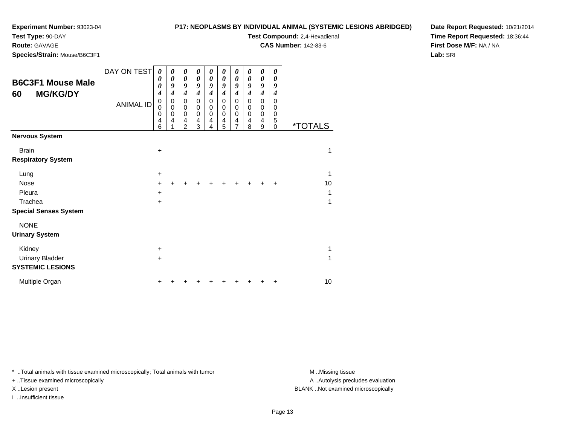#### **P17: NEOPLASMS BY INDIVIDUAL ANIMAL (SYSTEMIC LESIONS ABRIDGED)**

**Test Compound:** 2,4-Hexadienal **CAS Number:** 142-83-6

**Test Type:** 90-DAY

## **Route:** GAVAGE

**Species/Strain:** Mouse/B6C3F1

**Date Report Requested:** 10/21/2014**Time Report Requested:** 18:36:44**First Dose M/F:** NA / NA**Lab:** SRI

| <b>B6C3F1 Mouse Male</b><br><b>MG/KG/DY</b><br>60 | DAY ON TEST<br><b>ANIMAL ID</b> | 0<br>0<br>0<br>$\boldsymbol{4}$<br>$\pmb{0}$<br>$\mathbf 0$<br>0<br>$\overline{4}$<br>6 | 0<br>0<br>9<br>$\boldsymbol{4}$<br>0<br>$\mathbf 0$<br>$\mathbf 0$<br>4 | 0<br>0<br>9<br>4<br>0<br>$\boldsymbol{0}$<br>$\mathbf 0$<br>4<br>$\overline{2}$ | 0<br>0<br>9<br>4<br>0<br>$\mathbf 0$<br>$\mathbf 0$<br>4<br>3 | 0<br>$\boldsymbol{\theta}$<br>9<br>4<br>0<br>0<br>0<br>4<br>4 | 0<br>$\boldsymbol{\theta}$<br>9<br>4<br>$\Omega$<br>0<br>$\mathbf 0$<br>4<br>5 | 0<br>0<br>9<br>4<br>$\mathbf 0$<br>0<br>$\mathbf 0$<br>4<br>$\overline{7}$ | 0<br>0<br>$\boldsymbol{g}$<br>$\boldsymbol{4}$<br>$\mathbf 0$<br>0<br>$\mathbf 0$<br>4<br>8 | 0<br>0<br>$\boldsymbol{g}$<br>$\boldsymbol{4}$<br>$\mathbf 0$<br>0<br>$\pmb{0}$<br>4<br>9 | 0<br>0<br>9<br>$\boldsymbol{4}$<br>$\Omega$<br>0<br>0<br>5<br>$\Omega$ | <i><b>*TOTALS</b></i> |
|---------------------------------------------------|---------------------------------|-----------------------------------------------------------------------------------------|-------------------------------------------------------------------------|---------------------------------------------------------------------------------|---------------------------------------------------------------|---------------------------------------------------------------|--------------------------------------------------------------------------------|----------------------------------------------------------------------------|---------------------------------------------------------------------------------------------|-------------------------------------------------------------------------------------------|------------------------------------------------------------------------|-----------------------|
| <b>Nervous System</b>                             |                                 |                                                                                         |                                                                         |                                                                                 |                                                               |                                                               |                                                                                |                                                                            |                                                                                             |                                                                                           |                                                                        |                       |
| <b>Brain</b><br><b>Respiratory System</b>         |                                 | $\ddot{}$                                                                               |                                                                         |                                                                                 |                                                               |                                                               |                                                                                |                                                                            |                                                                                             |                                                                                           |                                                                        | 1                     |
|                                                   |                                 |                                                                                         |                                                                         |                                                                                 |                                                               |                                                               |                                                                                |                                                                            |                                                                                             |                                                                                           |                                                                        |                       |
| Lung                                              |                                 | $\ddot{}$                                                                               |                                                                         |                                                                                 |                                                               |                                                               |                                                                                |                                                                            |                                                                                             |                                                                                           |                                                                        | 1                     |
| <b>Nose</b>                                       |                                 | $\ddot{}$                                                                               |                                                                         |                                                                                 |                                                               |                                                               |                                                                                |                                                                            |                                                                                             |                                                                                           | $\ddot{}$                                                              | 10                    |
| Pleura                                            |                                 | +                                                                                       |                                                                         |                                                                                 |                                                               |                                                               |                                                                                |                                                                            |                                                                                             |                                                                                           |                                                                        | 1                     |
| Trachea                                           |                                 | $\pm$                                                                                   |                                                                         |                                                                                 |                                                               |                                                               |                                                                                |                                                                            |                                                                                             |                                                                                           |                                                                        | 1                     |
| <b>Special Senses System</b>                      |                                 |                                                                                         |                                                                         |                                                                                 |                                                               |                                                               |                                                                                |                                                                            |                                                                                             |                                                                                           |                                                                        |                       |
| <b>NONE</b>                                       |                                 |                                                                                         |                                                                         |                                                                                 |                                                               |                                                               |                                                                                |                                                                            |                                                                                             |                                                                                           |                                                                        |                       |
| <b>Urinary System</b>                             |                                 |                                                                                         |                                                                         |                                                                                 |                                                               |                                                               |                                                                                |                                                                            |                                                                                             |                                                                                           |                                                                        |                       |
| Kidney                                            |                                 | +                                                                                       |                                                                         |                                                                                 |                                                               |                                                               |                                                                                |                                                                            |                                                                                             |                                                                                           |                                                                        | 1                     |
| <b>Urinary Bladder</b>                            |                                 | +                                                                                       |                                                                         |                                                                                 |                                                               |                                                               |                                                                                |                                                                            |                                                                                             |                                                                                           |                                                                        |                       |
| <b>SYSTEMIC LESIONS</b>                           |                                 |                                                                                         |                                                                         |                                                                                 |                                                               |                                                               |                                                                                |                                                                            |                                                                                             |                                                                                           |                                                                        |                       |
| Multiple Organ                                    |                                 |                                                                                         |                                                                         |                                                                                 |                                                               |                                                               |                                                                                |                                                                            |                                                                                             |                                                                                           | +                                                                      | 10                    |

\* ..Total animals with tissue examined microscopically; Total animals with tumor **M** . Missing tissue M ..Missing tissue

+ ..Tissue examined microscopically

I ..Insufficient tissue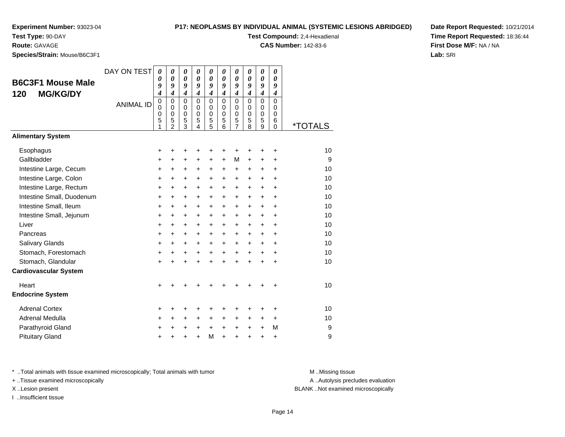# **P17: NEOPLASMS BY INDIVIDUAL ANIMAL (SYSTEMIC LESIONS ABRIDGED)**

**Test Compound:** 2,4-Hexadienal

**CAS Number:** 142-83-6

**Date Report Requested:** 10/21/2014**Time Report Requested:** 18:36:44**First Dose M/F:** NA / NA**Lab:** SRI

**Route:** GAVAGE**Species/Strain:** Mouse/B6C3F1

| DAY ON TEST      | $\boldsymbol{\theta}$<br>0<br>9                | $\pmb{\theta}$<br>$\boldsymbol{\theta}$<br>9<br>$\boldsymbol{4}$ | $\boldsymbol{\theta}$<br>$\boldsymbol{\theta}$<br>9<br>4 | $\boldsymbol{\theta}$<br>$\boldsymbol{\theta}$<br>9<br>$\boldsymbol{4}$ | $\boldsymbol{\theta}$<br>$\boldsymbol{\theta}$<br>9<br>$\boldsymbol{4}$ | $\boldsymbol{\theta}$<br>$\boldsymbol{\theta}$<br>9<br>$\boldsymbol{4}$ | $\boldsymbol{\theta}$<br>$\boldsymbol{\theta}$<br>9<br>$\boldsymbol{4}$ | 0<br>0<br>9<br>$\boldsymbol{4}$        | $\boldsymbol{\theta}$<br>$\boldsymbol{\theta}$<br>9<br>$\boldsymbol{4}$ | 0<br>0<br>9<br>$\boldsymbol{4}$     |                       |
|------------------|------------------------------------------------|------------------------------------------------------------------|----------------------------------------------------------|-------------------------------------------------------------------------|-------------------------------------------------------------------------|-------------------------------------------------------------------------|-------------------------------------------------------------------------|----------------------------------------|-------------------------------------------------------------------------|-------------------------------------|-----------------------|
| <b>ANIMAL ID</b> | $\boldsymbol{0}$<br>$\mathbf 0$<br>0<br>5<br>1 | $\mathbf 0$<br>0<br>$\pmb{0}$<br>5<br>$\mathfrak{p}$             | $\Omega$<br>0<br>$\pmb{0}$<br>5<br>3                     | $\Omega$<br>0<br>$\pmb{0}$<br>5<br>4                                    | $\mathbf 0$<br>0<br>$\pmb{0}$<br>$\frac{5}{5}$                          | 0<br>0<br>$\mathbf 0$<br>5<br>6                                         | 0<br>0<br>0<br>5<br>7                                                   | $\Omega$<br>0<br>$\mathbf 0$<br>5<br>8 | $\Omega$<br>0<br>$\mathbf 0$<br>5<br>9                                  | $\Omega$<br>0<br>0<br>6<br>$\Omega$ | <i><b>*TOTALS</b></i> |
|                  |                                                |                                                                  |                                                          |                                                                         |                                                                         |                                                                         |                                                                         |                                        |                                                                         |                                     |                       |
|                  | +                                              | +                                                                | +                                                        | +                                                                       | +                                                                       | +                                                                       | +                                                                       | ٠                                      | ٠                                                                       | ٠                                   | 10                    |
|                  | $\ddot{}$                                      | $\ddot{}$                                                        | +                                                        | +                                                                       | $\ddot{}$                                                               | $\ddot{}$                                                               | M                                                                       | $\ddot{}$                              | $\ddot{}$                                                               | $\ddot{}$                           | 9                     |
|                  | $\ddot{}$                                      | $\ddot{}$                                                        | $\ddot{}$                                                | $\ddot{}$                                                               | $\ddot{}$                                                               | $\ddot{}$                                                               | $\ddot{}$                                                               | $\ddot{}$                              | $\pm$                                                                   | +                                   | 10                    |
|                  | $\ddot{}$                                      | +                                                                | +                                                        | $\ddot{}$                                                               | $\pm$                                                                   | $\ddot{}$                                                               | +                                                                       | $\ddot{}$                              | $\ddot{}$                                                               | $\ddot{}$                           | 10                    |
|                  | $\ddot{}$                                      | $\ddot{}$                                                        | +                                                        | $\ddot{}$                                                               | $\ddot{}$                                                               | $+$                                                                     | $\ddot{}$                                                               | $\ddot{}$                              | $\ddot{}$                                                               | $\ddot{}$                           | 10                    |
|                  | +                                              | +                                                                | $\ddot{}$                                                | $\ddot{}$                                                               | $\ddot{}$                                                               | $\ddot{}$                                                               | +                                                                       | $\ddot{}$                              | $\ddot{}$                                                               | $\ddot{}$                           | 10                    |
|                  | $\ddot{}$                                      | $\ddot{}$                                                        | $\ddot{}$                                                | $\ddot{}$                                                               | $\ddot{}$                                                               | +                                                                       | $\ddot{}$                                                               | $\ddot{}$                              | $\ddot{}$                                                               | $\ddot{}$                           | 10                    |
|                  | +                                              | +                                                                | +                                                        | $\ddot{}$                                                               | +                                                                       | +                                                                       | +                                                                       | +                                      | $\ddot{}$                                                               | +                                   | 10                    |
|                  | $\ddot{}$                                      | $\ddot{}$                                                        | $\ddot{}$                                                | $\ddot{}$                                                               | $\ddot{}$                                                               | $\ddot{}$                                                               | $\ddot{}$                                                               | $\ddot{}$                              | $\ddot{}$                                                               | $\ddot{}$                           | 10                    |
|                  | $\ddot{}$                                      | +                                                                | $\ddot{}$                                                | $\ddot{}$                                                               | $\ddot{}$                                                               | $\ddot{}$                                                               | +                                                                       | $\ddot{}$                              | $\ddot{}$                                                               | $\ddot{}$                           | 10                    |
|                  | $\ddot{}$                                      | +                                                                | +                                                        | $\ddot{}$                                                               | $+$                                                                     | $\ddot{}$                                                               | $\ddot{}$                                                               | $\ddot{}$                              | $\ddot{}$                                                               | $\ddot{}$                           | 10                    |
|                  | +                                              | $\ddot{}$                                                        | +                                                        | $\ddot{}$                                                               | $\ddot{}$                                                               | $\ddot{}$                                                               | $\ddot{}$                                                               | $\ddot{}$                              | $\ddot{}$                                                               | $\ddot{}$                           | 10                    |
|                  | $\ddot{}$                                      | $\ddot{}$                                                        | $\ddot{}$                                                | $\ddot{}$                                                               | $\ddot{}$                                                               | $\ddot{}$                                                               | $\ddot{}$                                                               | $\ddot{}$                              | $\ddot{}$                                                               | $\ddot{}$                           | 10                    |
|                  |                                                |                                                                  |                                                          |                                                                         |                                                                         |                                                                         |                                                                         |                                        |                                                                         |                                     |                       |
|                  | $\ddot{}$                                      |                                                                  | +                                                        |                                                                         |                                                                         |                                                                         | +                                                                       |                                        |                                                                         | +                                   | 10                    |
|                  |                                                |                                                                  |                                                          |                                                                         |                                                                         |                                                                         |                                                                         |                                        |                                                                         |                                     |                       |
|                  | +                                              | +                                                                | +                                                        | +                                                                       | +                                                                       | +                                                                       | +                                                                       |                                        |                                                                         | +                                   | 10                    |
|                  | +                                              | $\ddot{}$                                                        | +                                                        | +                                                                       | $\ddot{}$                                                               | +                                                                       | +                                                                       | +                                      | $\ddot{}$                                                               | $\ddot{}$                           | 10                    |
|                  | $\ddot{}$                                      | $\ddot{}$                                                        | $\ddot{}$                                                | $\ddot{}$                                                               | $\ddot{}$                                                               | $\ddot{}$                                                               | +                                                                       | $\ddot{}$                              | $\ddot{}$                                                               | M                                   | 9                     |
|                  | +                                              |                                                                  | $\ddot{}$                                                | $\ddot{}$                                                               | M                                                                       | $\ddot{}$                                                               | $\ddot{}$                                                               | $\ddot{}$                              | $\ddot{}$                                                               | $\ddot{}$                           | 9                     |
|                  |                                                | 4                                                                |                                                          |                                                                         |                                                                         |                                                                         |                                                                         |                                        |                                                                         |                                     |                       |

\* ..Total animals with tissue examined microscopically; Total animals with tumor **M** . Missing tissue M ..Missing tissue

+ ..Tissue examined microscopically

I ..Insufficient tissue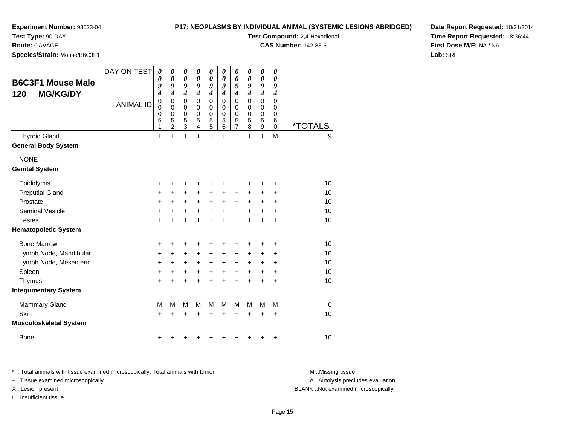**Test Type:** 90-DAY

**Route:** GAVAGE

**Species/Strain:** Mouse/B6C3F1

|  | <b>P17: NEOPLASMS BY INDIVIDUAL ANIMAL (SYSTEMIC LESIONS ABRIDGED)</b> |
|--|------------------------------------------------------------------------|
|--|------------------------------------------------------------------------|

**Test Compound:** 2,4-Hexadienal

**CAS Number:** 142-83-6

**Date Report Requested:** 10/21/2014**Time Report Requested:** 18:36:44**First Dose M/F:** NA / NA**Lab:** SRI

| <b>B6C3F1 Mouse Male</b><br><b>MG/KG/DY</b><br>120 | DAY ON TEST      | $\boldsymbol{\theta}$<br>0<br>9<br>4<br>$\mathbf 0$ | 0<br>0<br>9<br>$\overline{\boldsymbol{4}}$<br>0 | 0<br>$\boldsymbol{\theta}$<br>9<br>$\boldsymbol{4}$<br>$\mathbf 0$ | 0<br>0<br>9<br>$\overline{\boldsymbol{4}}$<br>$\mathbf 0$ | 0<br>$\boldsymbol{\theta}$<br>9<br>$\boldsymbol{4}$<br>0 | 0<br>$\boldsymbol{\theta}$<br>9<br>$\overline{\boldsymbol{4}}$<br>$\mathbf 0$ | 0<br>$\boldsymbol{\theta}$<br>9<br>$\boldsymbol{4}$<br>$\pmb{0}$ | 0<br>0<br>9<br>$\overline{\boldsymbol{4}}$<br>$\mathbf 0$ | 0<br>$\pmb{\theta}$<br>9<br>$\boldsymbol{4}$<br>$\mathbf 0$ | 0<br>$\boldsymbol{\theta}$<br>9<br>$\boldsymbol{4}$<br>$\Omega$ |                       |
|----------------------------------------------------|------------------|-----------------------------------------------------|-------------------------------------------------|--------------------------------------------------------------------|-----------------------------------------------------------|----------------------------------------------------------|-------------------------------------------------------------------------------|------------------------------------------------------------------|-----------------------------------------------------------|-------------------------------------------------------------|-----------------------------------------------------------------|-----------------------|
|                                                    | <b>ANIMAL ID</b> | $\mathbf 0$<br>0<br>5<br>1                          | $\mathbf 0$<br>0<br>5<br>2                      | $\mathbf 0$<br>0<br>$\frac{5}{3}$                                  | $\mathbf 0$<br>$\mathbf 0$<br>5<br>4                      | $\mathbf 0$<br>0<br>5<br>$\overline{5}$                  | $\Omega$<br>$\mathbf 0$<br>5<br>6                                             | $\pmb{0}$<br>$\pmb{0}$<br>5<br>$\overline{7}$                    | $\mathbf 0$<br>$\mathbf 0$<br>5<br>8                      | $\mathbf 0$<br>$\mathbf 0$<br>5<br>9                        | $\Omega$<br>0<br>6<br>$\mathbf 0$                               | <i><b>*TOTALS</b></i> |
| <b>Thyroid Gland</b><br><b>General Body System</b> |                  | $\ddot{}$                                           | $\ddot{}$                                       | $\ddot{}$                                                          | $\ddot{}$                                                 | $\ddot{}$                                                | $\ddot{}$                                                                     | $\ddot{}$                                                        | $\ddot{}$                                                 | $\ddot{}$                                                   | M                                                               | 9                     |
| <b>NONE</b><br><b>Genital System</b>               |                  |                                                     |                                                 |                                                                    |                                                           |                                                          |                                                                               |                                                                  |                                                           |                                                             |                                                                 |                       |
| Epididymis                                         |                  | +                                                   | +                                               | +                                                                  | +                                                         | +                                                        | +                                                                             | +                                                                | +                                                         | +                                                           | +                                                               | 10                    |
| <b>Preputial Gland</b>                             |                  | +                                                   | $\ddot{}$                                       | $\ddot{}$                                                          | +                                                         | +                                                        | +                                                                             | +                                                                | +                                                         | +                                                           | +                                                               | 10                    |
| Prostate                                           |                  | +                                                   | +                                               | +                                                                  | $\ddot{}$                                                 | $\ddot{}$                                                | $\ddot{}$                                                                     | $\ddot{}$                                                        | $+$                                                       | +                                                           | +                                                               | 10                    |
| <b>Seminal Vesicle</b>                             |                  | +                                                   | $\ddot{}$                                       | +                                                                  | +                                                         | +                                                        | $\ddot{}$                                                                     | $\ddot{}$                                                        | $\ddot{}$                                                 | +                                                           | +                                                               | 10                    |
| <b>Testes</b>                                      |                  | $\ddot{}$                                           |                                                 | $\ddot{}$                                                          | $\ddot{}$                                                 | $\ddot{}$                                                | $\ddot{}$                                                                     | $\ddot{}$                                                        | $\ddot{}$                                                 | $\ddot{}$                                                   | $\ddot{}$                                                       | 10                    |
| <b>Hematopoietic System</b>                        |                  |                                                     |                                                 |                                                                    |                                                           |                                                          |                                                                               |                                                                  |                                                           |                                                             |                                                                 |                       |
| <b>Bone Marrow</b>                                 |                  | +                                                   | +                                               | +                                                                  | +                                                         | +                                                        | +                                                                             | +                                                                |                                                           | +                                                           | +                                                               | 10                    |
| Lymph Node, Mandibular                             |                  | +                                                   | $\ddot{}$                                       | $\ddot{}$                                                          | +                                                         | +                                                        | $\ddot{}$                                                                     | $+$                                                              | $+$                                                       | $\pm$                                                       | +                                                               | 10                    |
| Lymph Node, Mesenteric                             |                  | +                                                   | $\ddot{}$                                       | +                                                                  | +                                                         | $\ddot{}$                                                | $\ddot{}$                                                                     | $\ddot{}$                                                        | +                                                         | +                                                           | +                                                               | 10                    |
| Spleen                                             |                  | +                                                   | +                                               | +                                                                  | +                                                         | +                                                        | $\ddot{}$                                                                     | $\ddot{}$                                                        | $\ddot{}$                                                 | $\ddot{}$                                                   | $\ddot{}$                                                       | 10                    |
| Thymus                                             |                  | $\ddot{}$                                           |                                                 |                                                                    |                                                           | $\ddot{}$                                                | $\ddot{}$                                                                     | $\ddot{}$                                                        | $\ddot{}$                                                 | $\ddot{}$                                                   | $\ddot{}$                                                       | 10                    |
| <b>Integumentary System</b>                        |                  |                                                     |                                                 |                                                                    |                                                           |                                                          |                                                                               |                                                                  |                                                           |                                                             |                                                                 |                       |
| <b>Mammary Gland</b>                               |                  | M                                                   | M                                               | M                                                                  | М                                                         | M                                                        | М                                                                             | M                                                                | M                                                         | M                                                           | M                                                               | $\Omega$              |
| Skin                                               |                  | $\ddot{}$                                           |                                                 | +                                                                  | +                                                         | +                                                        | +                                                                             | +                                                                | +                                                         | +                                                           | +                                                               | 10                    |
| <b>Musculoskeletal System</b>                      |                  |                                                     |                                                 |                                                                    |                                                           |                                                          |                                                                               |                                                                  |                                                           |                                                             |                                                                 |                       |
| <b>Bone</b>                                        |                  | +                                                   |                                                 |                                                                    |                                                           | ٠                                                        | ٠                                                                             |                                                                  |                                                           | ٠                                                           | +                                                               | 10                    |

\* ..Total animals with tissue examined microscopically; Total animals with tumor **M** ..Missing tissue M ..Missing tissue

+ ..Tissue examined microscopically

I ..Insufficient tissue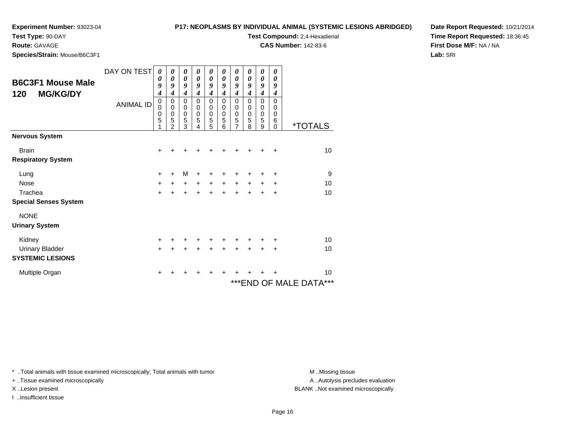#### **P17: NEOPLASMS BY INDIVIDUAL ANIMAL (SYSTEMIC LESIONS ABRIDGED)**

**Test Compound:** 2,4-Hexadienal **CAS Number:** 142-83-6

**Test Type:** 90-DAY

**Route:** GAVAGE

**Species/Strain:** Mouse/B6C3F1

**Date Report Requested:** 10/21/2014**Time Report Requested:** 18:36:45**First Dose M/F:** NA / NA**Lab:** SRI

| <b>B6C3F1 Mouse Male</b><br><b>MG/KG/DY</b><br>120 | DAY ON TEST<br><b>ANIMAL ID</b> | 0<br>0<br>9<br>4<br>$\mathbf 0$<br>0<br>$\mathbf 0$<br>5 | 0<br>0<br>9<br>$\boldsymbol{4}$<br>0<br>0<br>$\mathbf 0$<br>5<br>2 | 0<br>0<br>9<br>$\boldsymbol{4}$<br>0<br>0<br>$\pmb{0}$<br>5<br>3 | 0<br>0<br>9<br>$\boldsymbol{4}$<br>0<br>0<br>$\mathbf 0$<br>5<br>4 | 0<br>0<br>9<br>$\boldsymbol{4}$<br>0<br>0<br>$\mathbf 0$<br>5<br>5 | 0<br>0<br>9<br>$\boldsymbol{4}$<br>0<br>0<br>0<br>5<br>6 | 0<br>0<br>9<br>$\boldsymbol{4}$<br>0<br>0<br>0<br>5<br>$\overline{7}$ | 0<br>0<br>9<br>$\boldsymbol{4}$<br>0<br>0<br>0<br>5<br>8 | 0<br>0<br>9<br>$\boldsymbol{4}$<br>0<br>0<br>$\boldsymbol{0}$<br>5<br>9 | 0<br>$\boldsymbol{\theta}$<br>9<br>$\boldsymbol{4}$<br>0<br>0<br>0<br>6<br>$\Omega$ | <i><b>*TOTALS</b></i>      |
|----------------------------------------------------|---------------------------------|----------------------------------------------------------|--------------------------------------------------------------------|------------------------------------------------------------------|--------------------------------------------------------------------|--------------------------------------------------------------------|----------------------------------------------------------|-----------------------------------------------------------------------|----------------------------------------------------------|-------------------------------------------------------------------------|-------------------------------------------------------------------------------------|----------------------------|
| <b>Nervous System</b>                              |                                 |                                                          |                                                                    |                                                                  |                                                                    |                                                                    |                                                          |                                                                       |                                                          |                                                                         |                                                                                     |                            |
| <b>Brain</b><br><b>Respiratory System</b>          |                                 | +                                                        |                                                                    |                                                                  |                                                                    |                                                                    |                                                          |                                                                       |                                                          |                                                                         | ÷                                                                                   | 10                         |
| Lung                                               |                                 | +                                                        | +                                                                  | M                                                                | +                                                                  | +                                                                  | +                                                        | +                                                                     |                                                          |                                                                         | +                                                                                   | 9                          |
| <b>Nose</b>                                        |                                 | $\ddot{}$                                                | $+$                                                                | $\ddot{}$                                                        | $+$                                                                | $\ddot{}$                                                          | $+$                                                      | $\ddot{}$                                                             | $+$                                                      | $\ddot{}$                                                               | $\ddot{}$                                                                           | 10                         |
| Trachea                                            |                                 | $\ddot{}$                                                |                                                                    | $\ddot{}$                                                        | ÷                                                                  | $\ddot{}$                                                          | $\ddot{}$                                                | $\ddot{}$                                                             | $\ddot{}$                                                | $\div$                                                                  | $\ddot{}$                                                                           | 10                         |
| <b>Special Senses System</b>                       |                                 |                                                          |                                                                    |                                                                  |                                                                    |                                                                    |                                                          |                                                                       |                                                          |                                                                         |                                                                                     |                            |
| <b>NONE</b>                                        |                                 |                                                          |                                                                    |                                                                  |                                                                    |                                                                    |                                                          |                                                                       |                                                          |                                                                         |                                                                                     |                            |
| <b>Urinary System</b>                              |                                 |                                                          |                                                                    |                                                                  |                                                                    |                                                                    |                                                          |                                                                       |                                                          |                                                                         |                                                                                     |                            |
| Kidney                                             |                                 | +                                                        |                                                                    |                                                                  |                                                                    | +                                                                  |                                                          |                                                                       |                                                          |                                                                         | ٠                                                                                   | 10                         |
| <b>Urinary Bladder</b>                             |                                 | $\ddot{}$                                                |                                                                    |                                                                  |                                                                    | $\ddot{}$                                                          | $\ddot{}$                                                | $\ddot{}$                                                             | $\ddot{}$                                                | $+$                                                                     | $\ddot{}$                                                                           | 10                         |
| <b>SYSTEMIC LESIONS</b>                            |                                 |                                                          |                                                                    |                                                                  |                                                                    |                                                                    |                                                          |                                                                       |                                                          |                                                                         |                                                                                     |                            |
| Multiple Organ                                     |                                 | +                                                        |                                                                    |                                                                  |                                                                    |                                                                    | +                                                        |                                                                       |                                                          |                                                                         |                                                                                     | 10                         |
|                                                    |                                 |                                                          |                                                                    |                                                                  |                                                                    |                                                                    |                                                          |                                                                       |                                                          |                                                                         |                                                                                     | ***<br>***END OF MALE DATA |

\* ..Total animals with tissue examined microscopically; Total animals with tumor **M** . Missing tissue M ..Missing tissue

+ ..Tissue examined microscopically

I ..Insufficient tissue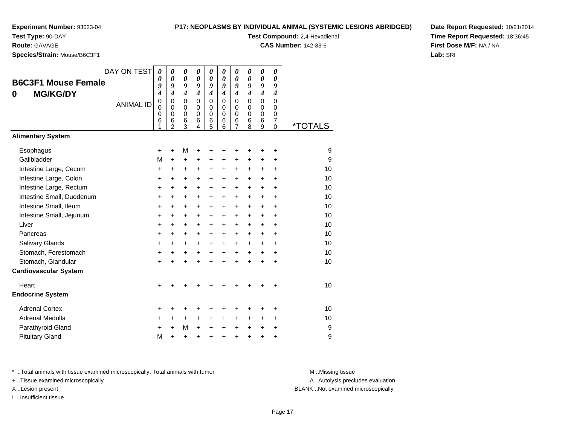# **P17: NEOPLASMS BY INDIVIDUAL ANIMAL (SYSTEMIC LESIONS ABRIDGED)**

**Test Compound:** 2,4-Hexadienal

**CAS Number:** 142-83-6

**Date Report Requested:** 10/21/2014**Time Report Requested:** 18:36:45**First Dose M/F:** NA / NA**Lab:** SRI

**Species/Strain:** Mouse/B6C3F1

**Test Type:** 90-DAY**Route:** GAVAGE

| colcaroti allii. Modsc/Doool T                     |                  |                                                          |                                                                         |                                                     |                                                     |                                                                         |                                                                                    |                                                                  |                                               |                                                     |                                                               |                       |
|----------------------------------------------------|------------------|----------------------------------------------------------|-------------------------------------------------------------------------|-----------------------------------------------------|-----------------------------------------------------|-------------------------------------------------------------------------|------------------------------------------------------------------------------------|------------------------------------------------------------------|-----------------------------------------------|-----------------------------------------------------|---------------------------------------------------------------|-----------------------|
| <b>B6C3F1 Mouse Female</b><br><b>MG/KG/DY</b><br>0 | DAY ON TEST      | $\boldsymbol{\theta}$<br>$\boldsymbol{\theta}$<br>9<br>4 | $\boldsymbol{\theta}$<br>$\boldsymbol{\theta}$<br>9<br>$\boldsymbol{4}$ | 0<br>$\boldsymbol{\theta}$<br>9<br>$\boldsymbol{4}$ | 0<br>$\boldsymbol{\theta}$<br>9<br>$\boldsymbol{4}$ | $\boldsymbol{\theta}$<br>$\boldsymbol{\theta}$<br>9<br>$\boldsymbol{4}$ | $\boldsymbol{\theta}$<br>$\boldsymbol{\theta}$<br>9<br>$\overline{\boldsymbol{4}}$ | $\pmb{\theta}$<br>$\boldsymbol{\theta}$<br>9<br>$\boldsymbol{4}$ | 0<br>0<br>9<br>$\boldsymbol{4}$               | 0<br>$\boldsymbol{\theta}$<br>9<br>$\boldsymbol{4}$ | 0<br>0<br>9<br>$\boldsymbol{4}$                               |                       |
|                                                    | <b>ANIMAL ID</b> | $\mathbf 0$<br>0<br>$\pmb{0}$<br>6<br>1                  | $\Omega$<br>0<br>$\pmb{0}$<br>6<br>$\overline{2}$                       | $\Omega$<br>0<br>$\pmb{0}$<br>$6\phantom{1}6$<br>3  | $\Omega$<br>$\Omega$<br>$\Omega$<br>6<br>4          | $\Omega$<br>0<br>$\mathbf 0$<br>$6\phantom{1}6$<br>5                    | $\Omega$<br>0<br>$\mathbf 0$<br>$6\phantom{1}6$<br>6                               | $\Omega$<br>0<br>$\mathsf 0$<br>6<br>$\overline{7}$              | $\Omega$<br>$\Omega$<br>$\mathbf 0$<br>6<br>8 | $\Omega$<br>0<br>$\mathbf 0$<br>6<br>9              | $\Omega$<br>0<br>$\mathbf 0$<br>$\overline{7}$<br>$\mathbf 0$ | <i><b>*TOTALS</b></i> |
| <b>Alimentary System</b>                           |                  |                                                          |                                                                         |                                                     |                                                     |                                                                         |                                                                                    |                                                                  |                                               |                                                     |                                                               |                       |
| Esophagus                                          |                  | +                                                        | $\ddot{}$                                                               | М                                                   | $\ddot{}$                                           | +                                                                       | +                                                                                  | +                                                                | +                                             | +                                                   | +                                                             | 9                     |
| Gallbladder                                        |                  | M                                                        | $\ddot{}$                                                               | +                                                   | +                                                   | +                                                                       | $\pm$                                                                              | +                                                                | +                                             | +                                                   | $\ddot{}$                                                     | 9                     |
| Intestine Large, Cecum                             |                  | +                                                        | +                                                                       | +                                                   | +                                                   | +                                                                       | +                                                                                  | +                                                                | +                                             | +                                                   | $\ddot{}$                                                     | 10                    |
| Intestine Large, Colon                             |                  | $\ddot{}$                                                | +                                                                       | +                                                   | $\ddot{}$                                           | $\ddot{}$                                                               | $\ddot{}$                                                                          | $\ddot{}$                                                        | $\ddot{}$                                     | $\ddot{}$                                           | $\ddot{}$                                                     | 10                    |
| Intestine Large, Rectum                            |                  | $\ddot{}$                                                | $+$                                                                     | $\ddot{}$                                           | $\ddot{}$                                           | $\ddot{}$                                                               | $+$                                                                                | $\ddot{}$                                                        | $\ddot{}$                                     | $\ddot{}$                                           | $\ddot{}$                                                     | 10                    |
| Intestine Small, Duodenum                          |                  | +                                                        | $\ddot{}$                                                               | $\ddot{}$                                           | $\ddot{}$                                           | $\ddot{}$                                                               | $\ddot{}$                                                                          | $\pm$                                                            | $\ddot{}$                                     | $\ddot{}$                                           | $\ddot{}$                                                     | 10                    |
| Intestine Small, Ileum                             |                  | $\ddot{}$                                                | $\ddot{}$                                                               | $\ddot{}$                                           | $\ddot{}$                                           | $\ddot{}$                                                               | $\ddot{}$                                                                          | $+$                                                              | $\ddot{}$                                     | $+$                                                 | $\ddot{}$                                                     | 10                    |
| Intestine Small, Jejunum                           |                  | +                                                        | $\ddot{}$                                                               | +                                                   | $\ddot{}$                                           | +                                                                       | $\ddot{}$                                                                          | $\ddot{}$                                                        | +                                             | $\ddot{}$                                           | $\ddot{}$                                                     | 10                    |
| Liver                                              |                  | +                                                        | $\ddot{}$                                                               | $\ddot{}$                                           | $\ddot{}$                                           | $\ddot{}$                                                               | $+$                                                                                | $\ddot{}$                                                        | $+$                                           | $+$                                                 | $\ddot{}$                                                     | 10                    |
| Pancreas                                           |                  | $\ddot{}$                                                | $\ddot{}$                                                               | $\ddot{}$                                           | $\ddot{}$                                           | $\ddot{}$                                                               | $\ddot{}$                                                                          | $\ddot{}$                                                        | $\ddot{}$                                     | $\ddot{}$                                           | $\ddot{}$                                                     | 10                    |
| Salivary Glands                                    |                  | +                                                        | +                                                                       | $\ddot{}$                                           | $\ddot{}$                                           | $\ddot{}$                                                               | $+$                                                                                | $\pm$                                                            | $+$                                           | $\ddot{}$                                           | $\ddot{}$                                                     | 10                    |
| Stomach, Forestomach                               |                  | +                                                        |                                                                         | $\ddot{}$                                           | $\ddot{}$                                           | $\ddot{}$                                                               | $\ddot{}$                                                                          | $\ddot{}$                                                        | $\ddot{}$                                     | $\ddot{}$                                           | $\ddot{}$                                                     | 10                    |
| Stomach, Glandular                                 |                  | $\ddot{}$                                                |                                                                         | $\ddot{}$                                           | ÷                                                   | $\ddot{}$                                                               | $\ddot{}$                                                                          | $\ddot{}$                                                        | $\ddot{}$                                     | $\ddot{}$                                           | $\ddot{}$                                                     | 10                    |
| <b>Cardiovascular System</b>                       |                  |                                                          |                                                                         |                                                     |                                                     |                                                                         |                                                                                    |                                                                  |                                               |                                                     |                                                               |                       |
| Heart                                              |                  | +                                                        |                                                                         |                                                     |                                                     | +                                                                       |                                                                                    | +                                                                | +                                             | +                                                   | ÷                                                             | 10                    |
| <b>Endocrine System</b>                            |                  |                                                          |                                                                         |                                                     |                                                     |                                                                         |                                                                                    |                                                                  |                                               |                                                     |                                                               |                       |
| <b>Adrenal Cortex</b>                              |                  | +                                                        |                                                                         | ٠                                                   | +                                                   | ٠                                                                       |                                                                                    | ٠                                                                | ٠                                             |                                                     | ÷                                                             | 10                    |
| Adrenal Medulla                                    |                  | +                                                        | $\ddot{}$                                                               | $\ddot{}$                                           | $\ddot{}$                                           | $\ddot{}$                                                               | $\ddot{}$                                                                          | $\ddot{}$                                                        | $\ddot{}$                                     | $\ddot{}$                                           | $\ddot{}$                                                     | 10                    |
| Parathyroid Gland                                  |                  | +                                                        | $\ddot{}$                                                               | M                                                   | $\ddot{}$                                           | $\ddot{}$                                                               | $\ddot{}$                                                                          | $\ddot{}$                                                        | $\ddot{}$                                     | $\ddot{}$                                           | $\ddot{}$                                                     | 9                     |
| <b>Pituitary Gland</b>                             |                  | M                                                        | ÷                                                                       | $\ddot{}$                                           | $\ddot{}$                                           | $\ddot{}$                                                               | $\ddot{}$                                                                          | $\ddot{}$                                                        | $\ddot{}$                                     | $\ddot{}$                                           | $\ddot{}$                                                     | 9                     |
|                                                    |                  |                                                          |                                                                         |                                                     |                                                     |                                                                         |                                                                                    |                                                                  |                                               |                                                     |                                                               |                       |

\* ..Total animals with tissue examined microscopically; Total animals with tumor **M** . Missing tissue M ..Missing tissue

+ ..Tissue examined microscopically

I ..Insufficient tissue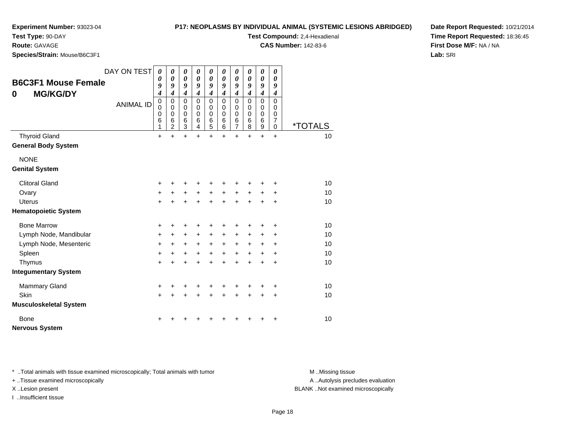#### **P17: NEOPLASMS BY INDIVIDUAL ANIMAL (SYSTEMIC LESIONS ABRIDGED)**

**Test Compound:** 2,4-Hexadienal **CAS Number:** 142-83-6

**Experiment Number:** 93023-04

**Test Type:** 90-DAY

**Route:** GAVAGE

**Species/Strain:** Mouse/B6C3F1

**Date Report Requested:** 10/21/2014**Time Report Requested:** 18:36:45**First Dose M/F:** NA / NA**Lab:** SRI

| <b>B6C3F1 Mouse Female</b><br><b>MG/KG/DY</b><br>0 | DAY ON TEST                   | $\boldsymbol{\theta}$<br>0<br>9<br>$\overline{\boldsymbol{4}}$<br>$\mathbf 0$ | $\boldsymbol{\theta}$<br>$\boldsymbol{\theta}$<br>9<br>$\boldsymbol{4}$<br>$\Omega$ | $\boldsymbol{\theta}$<br>$\boldsymbol{\theta}$<br>9<br>$\boldsymbol{4}$<br>$\mathbf 0$ | 0<br>0<br>9<br>$\overline{\boldsymbol{4}}$<br>0 | 0<br>$\boldsymbol{\theta}$<br>9<br>$\overline{\mathbf{4}}$<br>$\overline{0}$ | $\boldsymbol{\theta}$<br>0<br>9<br>$\overline{\boldsymbol{4}}$<br>$\Omega$ | $\boldsymbol{\theta}$<br>0<br>9<br>$\boldsymbol{4}$<br>$\mathbf 0$ | $\boldsymbol{\theta}$<br>$\boldsymbol{\theta}$<br>9<br>$\overline{\boldsymbol{4}}$<br>$\Omega$ | $\boldsymbol{\theta}$<br>$\boldsymbol{\theta}$<br>9<br>$\boldsymbol{4}$<br>$\Omega$ | 0<br>0<br>9<br>$\boldsymbol{4}$<br>$\Omega$ |                                                          |                       |
|----------------------------------------------------|-------------------------------|-------------------------------------------------------------------------------|-------------------------------------------------------------------------------------|----------------------------------------------------------------------------------------|-------------------------------------------------|------------------------------------------------------------------------------|----------------------------------------------------------------------------|--------------------------------------------------------------------|------------------------------------------------------------------------------------------------|-------------------------------------------------------------------------------------|---------------------------------------------|----------------------------------------------------------|-----------------------|
|                                                    |                               | <b>ANIMAL ID</b>                                                              | $\mathbf 0$<br>0<br>6<br>1                                                          | $\mathbf 0$<br>$\mathbf 0$<br>6<br>$\overline{2}$                                      | $\mathbf 0$<br>$\mathbf 0$<br>$\,6$<br>3        | $\mathbf 0$<br>$\Omega$<br>6<br>4                                            | $\mathbf 0$<br>$\mathbf 0$<br>6<br>5                                       | 0<br>$\Omega$<br>6<br>6                                            | $\mathbf 0$<br>$\mathbf 0$<br>$6\phantom{1}6$<br>7                                             | 0<br>$\mathbf 0$<br>6<br>8                                                          | $\mathbf 0$<br>$\mathbf 0$<br>6<br>9        | $\mathbf 0$<br>$\Omega$<br>$\overline{7}$<br>$\mathbf 0$ | <i><b>*TOTALS</b></i> |
|                                                    | <b>Thyroid Gland</b>          |                                                                               | +                                                                                   | $\ddot{}$                                                                              | $\ddot{}$                                       | $\ddot{}$                                                                    | $\ddot{}$                                                                  | $\ddot{}$                                                          | $\ddot{}$                                                                                      | $\ddot{}$                                                                           | $\ddot{}$                                   | $\ddot{}$                                                | 10                    |
|                                                    | <b>General Body System</b>    |                                                                               |                                                                                     |                                                                                        |                                                 |                                                                              |                                                                            |                                                                    |                                                                                                |                                                                                     |                                             |                                                          |                       |
|                                                    | <b>NONE</b>                   |                                                                               |                                                                                     |                                                                                        |                                                 |                                                                              |                                                                            |                                                                    |                                                                                                |                                                                                     |                                             |                                                          |                       |
|                                                    | <b>Genital System</b>         |                                                                               |                                                                                     |                                                                                        |                                                 |                                                                              |                                                                            |                                                                    |                                                                                                |                                                                                     |                                             |                                                          |                       |
|                                                    | <b>Clitoral Gland</b>         |                                                                               | +                                                                                   | ٠                                                                                      | ٠                                               | +                                                                            |                                                                            |                                                                    |                                                                                                | ٠                                                                                   | +                                           | ÷                                                        | 10                    |
|                                                    | Ovary                         |                                                                               | $\ddot{}$                                                                           | $\ddot{}$                                                                              | $\ddot{}$                                       | $\ddot{}$                                                                    | $+$                                                                        | $\ddot{}$                                                          | $\ddot{}$                                                                                      | $\ddot{}$                                                                           | $\ddot{}$                                   | $\pm$                                                    | 10                    |
|                                                    | <b>Uterus</b>                 |                                                                               | $\ddot{}$                                                                           | $\ddot{}$                                                                              | $\ddot{}$                                       | $\ddot{}$                                                                    | $\ddot{}$                                                                  | $+$                                                                | $+$                                                                                            | $\ddot{}$                                                                           | $\ddot{}$                                   | $\ddot{}$                                                | 10                    |
|                                                    | <b>Hematopoietic System</b>   |                                                                               |                                                                                     |                                                                                        |                                                 |                                                                              |                                                                            |                                                                    |                                                                                                |                                                                                     |                                             |                                                          |                       |
|                                                    | <b>Bone Marrow</b>            |                                                                               | +                                                                                   | +                                                                                      | +                                               | +                                                                            | +                                                                          |                                                                    | +                                                                                              | +                                                                                   | +                                           | +                                                        | 10                    |
|                                                    | Lymph Node, Mandibular        |                                                                               | $\ddot{}$                                                                           | $\pm$                                                                                  | $\ddot{}$                                       | $\ddot{}$                                                                    | +                                                                          | $\ddot{}$                                                          | $\ddot{}$                                                                                      | +                                                                                   | +                                           | +                                                        | 10                    |
|                                                    | Lymph Node, Mesenteric        |                                                                               | $\ddot{}$                                                                           | $\ddot{}$                                                                              | $\ddot{}$                                       | $\ddot{}$                                                                    | $\ddot{}$                                                                  | $\ddot{}$                                                          | $\ddot{}$                                                                                      | $\ddot{}$                                                                           | $\ddot{}$                                   | $\ddot{}$                                                | 10                    |
|                                                    | Spleen                        |                                                                               | $\ddot{}$                                                                           | $\ddot{}$                                                                              | $\ddot{}$                                       | $\ddot{}$                                                                    | $\ddot{}$                                                                  | $+$                                                                | $+$                                                                                            | $\ddot{}$                                                                           | $\ddot{}$                                   | +                                                        | 10                    |
|                                                    | Thymus                        |                                                                               | $\ddot{}$                                                                           | $\ddot{}$                                                                              | $\ddot{}$                                       | $\ddot{}$                                                                    | $\ddot{}$                                                                  | $\ddot{}$                                                          | $\ddot{}$                                                                                      | $\ddot{}$                                                                           | $\ddot{}$                                   | $\ddot{}$                                                | 10                    |
|                                                    | <b>Integumentary System</b>   |                                                                               |                                                                                     |                                                                                        |                                                 |                                                                              |                                                                            |                                                                    |                                                                                                |                                                                                     |                                             |                                                          |                       |
|                                                    | <b>Mammary Gland</b>          |                                                                               | +                                                                                   | +                                                                                      |                                                 |                                                                              |                                                                            |                                                                    |                                                                                                | +                                                                                   | +                                           | +                                                        | 10                    |
| Skin                                               |                               |                                                                               | $\ddot{}$                                                                           | $\ddot{}$                                                                              | $\ddot{}$                                       | $\ddot{}$                                                                    | $\ddot{}$                                                                  |                                                                    | $\ddot{}$                                                                                      | $\ddot{}$                                                                           | $\ddot{}$                                   | $\ddot{}$                                                | 10                    |
|                                                    | <b>Musculoskeletal System</b> |                                                                               |                                                                                     |                                                                                        |                                                 |                                                                              |                                                                            |                                                                    |                                                                                                |                                                                                     |                                             |                                                          |                       |
|                                                    | Bone                          |                                                                               | ٠                                                                                   |                                                                                        |                                                 |                                                                              |                                                                            |                                                                    |                                                                                                |                                                                                     |                                             | +                                                        | 10                    |
|                                                    | <b>Nervous System</b>         |                                                                               |                                                                                     |                                                                                        |                                                 |                                                                              |                                                                            |                                                                    |                                                                                                |                                                                                     |                                             |                                                          |                       |

\* ..Total animals with tissue examined microscopically; Total animals with tumor **M** . Missing tissue M ..Missing tissue

+ ..Tissue examined microscopically

I ..Insufficient tissue

A ..Autolysis precludes evaluation

X ..Lesion present BLANK ..Not examined microscopically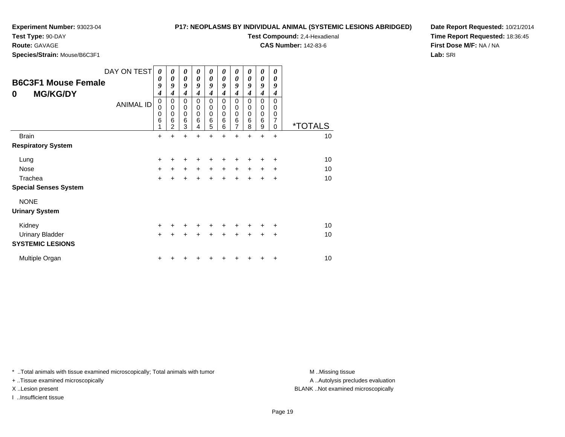**Test Type:** 90-DAY

**Route:** GAVAGE

**Species/Strain:** Mouse/B6C3F1

#### **P17: NEOPLASMS BY INDIVIDUAL ANIMAL (SYSTEMIC LESIONS ABRIDGED)**

**Test Compound:** 2,4-Hexadienal

**CAS Number:** 142-83-6

**Date Report Requested:** 10/21/2014**Time Report Requested:** 18:36:45**First Dose M/F:** NA / NA**Lab:** SRI

| <b>B6C3F1 Mouse Female</b><br><b>MG/KG/DY</b><br>0 | DAY ON TEST<br><b>ANIMAL ID</b> | 0<br>0<br>9<br>4<br>$\mathbf 0$<br>$\mathbf 0$<br>$\mathbf 0$<br>$\,6$<br>1 | 0<br>$\boldsymbol{\theta}$<br>9<br>4<br>$\mathbf 0$<br>$\mathbf 0$<br>$\mathbf 0$<br>$\,6$<br>$\overline{2}$ | 0<br>$\boldsymbol{\theta}$<br>9<br>$\boldsymbol{4}$<br>$\mathbf 0$<br>$\mathbf 0$<br>$\mathbf 0$<br>$\,6$<br>3 | 0<br>$\boldsymbol{\theta}$<br>9<br>4<br>$\mathbf 0$<br>0<br>0<br>6<br>4 | $\boldsymbol{\theta}$<br>$\boldsymbol{\theta}$<br>9<br>$\boldsymbol{4}$<br>$\mathbf 0$<br>$\pmb{0}$<br>$\pmb{0}$<br>6<br>5 | 0<br>0<br>9<br>$\boldsymbol{4}$<br>$\mathbf 0$<br>$\mathbf 0$<br>$\mathbf 0$<br>$\,6$<br>6 | 0<br>0<br>9<br>$\boldsymbol{4}$<br>$\mathbf 0$<br>$\mathbf 0$<br>$\pmb{0}$<br>$\overline{6}$<br>$\overline{7}$ | 0<br>0<br>9<br>4<br>$\mathbf 0$<br>$\mathbf 0$<br>$\mathbf 0$<br>6<br>8 | 0<br>0<br>9<br>4<br>$\mathbf 0$<br>0<br>$\mathbf 0$<br>6<br>9 | 0<br>0<br>9<br>4<br>$\Omega$<br>$\Omega$<br>0<br>7<br>$\Omega$ | <i><b>*TOTALS</b></i> |
|----------------------------------------------------|---------------------------------|-----------------------------------------------------------------------------|--------------------------------------------------------------------------------------------------------------|----------------------------------------------------------------------------------------------------------------|-------------------------------------------------------------------------|----------------------------------------------------------------------------------------------------------------------------|--------------------------------------------------------------------------------------------|----------------------------------------------------------------------------------------------------------------|-------------------------------------------------------------------------|---------------------------------------------------------------|----------------------------------------------------------------|-----------------------|
| <b>Brain</b>                                       |                                 | +                                                                           | ÷                                                                                                            | $\ddot{}$                                                                                                      | +                                                                       | +                                                                                                                          | ÷                                                                                          | $\ddot{}$                                                                                                      | +                                                                       | +                                                             | +                                                              | 10                    |
| <b>Respiratory System</b>                          |                                 |                                                                             |                                                                                                              |                                                                                                                |                                                                         |                                                                                                                            |                                                                                            |                                                                                                                |                                                                         |                                                               |                                                                |                       |
| Lung                                               |                                 | +                                                                           |                                                                                                              | ٠                                                                                                              |                                                                         |                                                                                                                            |                                                                                            |                                                                                                                |                                                                         |                                                               | ٠                                                              | 10                    |
| <b>Nose</b>                                        |                                 | $\ddot{}$                                                                   | $\ddot{}$                                                                                                    | $+$                                                                                                            | $+$                                                                     | $+$                                                                                                                        | $+$                                                                                        | $\ddot{}$                                                                                                      | $\ddot{}$                                                               | $\pm$                                                         | $\ddot{}$                                                      | 10                    |
| Trachea                                            |                                 | $\ddot{}$                                                                   |                                                                                                              |                                                                                                                |                                                                         |                                                                                                                            |                                                                                            |                                                                                                                |                                                                         | +                                                             | +                                                              | 10                    |
| <b>Special Senses System</b>                       |                                 |                                                                             |                                                                                                              |                                                                                                                |                                                                         |                                                                                                                            |                                                                                            |                                                                                                                |                                                                         |                                                               |                                                                |                       |
| <b>NONE</b>                                        |                                 |                                                                             |                                                                                                              |                                                                                                                |                                                                         |                                                                                                                            |                                                                                            |                                                                                                                |                                                                         |                                                               |                                                                |                       |
| <b>Urinary System</b>                              |                                 |                                                                             |                                                                                                              |                                                                                                                |                                                                         |                                                                                                                            |                                                                                            |                                                                                                                |                                                                         |                                                               |                                                                |                       |
| Kidney                                             |                                 | $\pm$                                                                       |                                                                                                              |                                                                                                                |                                                                         |                                                                                                                            |                                                                                            |                                                                                                                |                                                                         |                                                               | ٠                                                              | 10                    |
| <b>Urinary Bladder</b>                             |                                 | $\ddot{}$                                                                   |                                                                                                              |                                                                                                                |                                                                         |                                                                                                                            |                                                                                            | +                                                                                                              |                                                                         | +                                                             | $\ddot{}$                                                      | 10                    |
| <b>SYSTEMIC LESIONS</b>                            |                                 |                                                                             |                                                                                                              |                                                                                                                |                                                                         |                                                                                                                            |                                                                                            |                                                                                                                |                                                                         |                                                               |                                                                |                       |
| Multiple Organ                                     |                                 |                                                                             |                                                                                                              |                                                                                                                |                                                                         |                                                                                                                            |                                                                                            |                                                                                                                |                                                                         |                                                               | ٠                                                              | 10                    |

\* ..Total animals with tissue examined microscopically; Total animals with tumor **M** . Missing tissue M ..Missing tissue

+ ..Tissue examined microscopically

I ..Insufficient tissue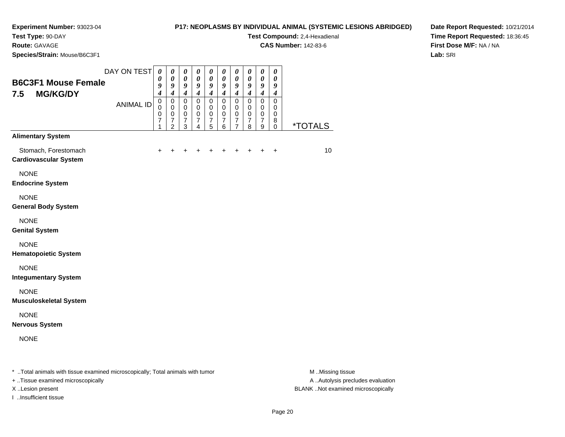#### **P17: NEOPLASMS BY INDIVIDUAL ANIMAL (SYSTEMIC LESIONS ABRIDGED)**

**Test Compound:** 2,4-Hexadienal

**CAS Number:** 142-83-6

**Date Report Requested:** 10/21/2014**Time Report Requested:** 18:36:45**First Dose M/F:** NA / NA**Lab:** SRI

\* ..Total animals with tissue examined microscopically; Total animals with tumor **M** ..Missing tissue M ..Missing tissue

+ ..Tissue examined microscopically

I ..Insufficient tissue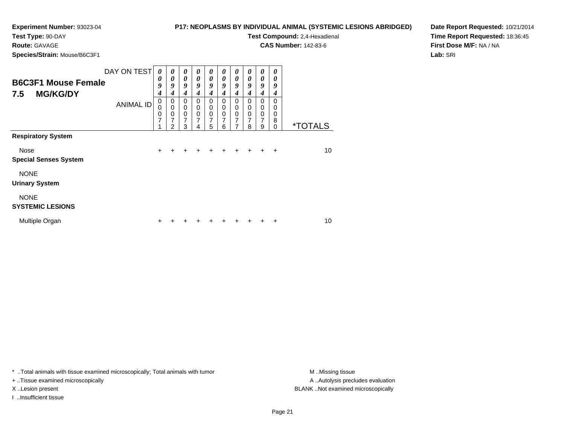**Test Type:** 90-DAY

## **Route:** GAVAGE

**Species/Strain:** Mouse/B6C3F1

**P17: NEOPLASMS BY INDIVIDUAL ANIMAL (SYSTEMIC LESIONS ABRIDGED)**

**Test Compound:** 2,4-Hexadienal

**CAS Number:** 142-83-6

**Date Report Requested:** 10/21/2014**Time Report Requested:** 18:36:45**First Dose M/F:** NA / NA**Lab:** SRI

| <b>B6C3F1 Mouse Female</b><br><b>MG/KG/DY</b><br>7.5 | DAY ON TEST      | 0<br>0<br>9<br>4 | 0<br>0<br>9<br>4                                                    | $\boldsymbol{\theta}$<br>$\boldsymbol{\theta}$<br>9<br>4 | 0<br>0<br>9<br>4                          | $\boldsymbol{\theta}$<br>$\boldsymbol{\theta}$<br>9<br>4 | 0<br>$\boldsymbol{\theta}$<br>9<br>4                   | $\boldsymbol{\theta}$<br>$\boldsymbol{\theta}$<br>9<br>4 | 0<br>$\boldsymbol{\theta}$<br>9<br>4 | 0<br>0<br>9<br>4                                          | 0<br>0<br>9<br>4             |                       |
|------------------------------------------------------|------------------|------------------|---------------------------------------------------------------------|----------------------------------------------------------|-------------------------------------------|----------------------------------------------------------|--------------------------------------------------------|----------------------------------------------------------|--------------------------------------|-----------------------------------------------------------|------------------------------|-----------------------|
|                                                      | <b>ANIMAL ID</b> | 0<br>0<br>0<br>7 | 0<br>$\mathbf 0$<br>$\mathbf 0$<br>$\overline{7}$<br>$\mathfrak{p}$ | 0<br>$\mathbf 0$<br>$\mathbf 0$<br>7<br>3                | 0<br>$\mathbf 0$<br>$\mathbf 0$<br>7<br>4 | 0<br>$\mathbf 0$<br>$\mathbf 0$<br>$\overline{7}$<br>5   | 0<br>$\mathbf 0$<br>$\mathbf 0$<br>$\overline{7}$<br>6 | $\Omega$<br>$\mathbf 0$<br>$\mathbf 0$<br>7<br>7         | $\Omega$<br>0<br>0<br>7<br>8         | $\Omega$<br>$\pmb{0}$<br>$\pmb{0}$<br>$\overline{7}$<br>9 | $\Omega$<br>0<br>0<br>8<br>0 | <i><b>*TOTALS</b></i> |
| <b>Respiratory System</b>                            |                  |                  |                                                                     |                                                          |                                           |                                                          |                                                        |                                                          |                                      |                                                           |                              |                       |
| Nose<br><b>Special Senses System</b>                 |                  | $\ddot{}$        | +                                                                   | ÷                                                        | ٠                                         | ٠                                                        | ٠                                                      | ÷                                                        | $\div$                               | $\pm$                                                     | ÷                            | 10                    |
| <b>NONE</b><br><b>Urinary System</b>                 |                  |                  |                                                                     |                                                          |                                           |                                                          |                                                        |                                                          |                                      |                                                           |                              |                       |
| <b>NONE</b><br><b>SYSTEMIC LESIONS</b>               |                  |                  |                                                                     |                                                          |                                           |                                                          |                                                        |                                                          |                                      |                                                           |                              |                       |
| Multiple Organ                                       |                  | ÷                |                                                                     |                                                          |                                           |                                                          |                                                        |                                                          |                                      |                                                           | ٠                            | 10                    |

\* ..Total animals with tissue examined microscopically; Total animals with tumor **M** . Missing tissue M ..Missing tissue

+ ..Tissue examined microscopically

I ..Insufficient tissue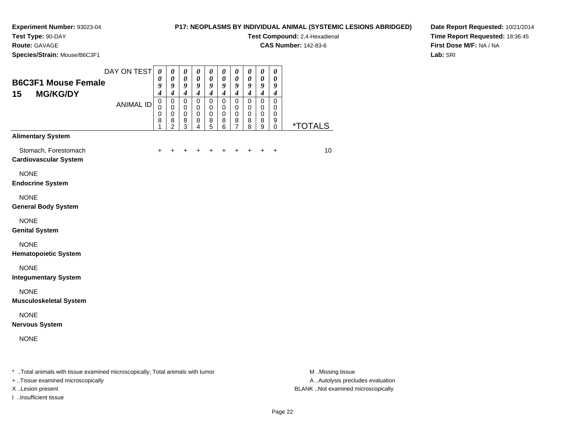#### **P17: NEOPLASMS BY INDIVIDUAL ANIMAL (SYSTEMIC LESIONS ABRIDGED)**

**Test Compound:** 2,4-Hexadienal **CAS Number:** 142-83-6

**Route:** GAVAGE

**Species/Strain:** Mouse/B6C3F1

**Date Report Requested:** 10/21/2014**Time Report Requested:** 18:36:45**First Dose M/F:** NA / NA**Lab:** SRI

| <b>B6C3F1 Mouse Female</b><br>15<br><b>MG/KG/DY</b>  | DAY ON TEST<br><b>ANIMAL ID</b>                              | $\boldsymbol{\theta}$<br>$\boldsymbol{\theta}$<br>9<br>$\overline{\boldsymbol{4}}$<br>$\pmb{0}$ | $\boldsymbol{\theta}$<br>0<br>9<br>$\boldsymbol{4}$<br>$\mathbf 0$ | $\boldsymbol{\theta}$<br>$\pmb{\theta}$<br>9<br>$\boldsymbol{4}$<br>$\mathbf 0$ | $\boldsymbol{\theta}$<br>$\boldsymbol{\theta}$<br>9<br>$\overline{4}$<br>$\mathbf 0$ | $\boldsymbol{\theta}$<br>$\boldsymbol{\theta}$<br>9<br>$\boldsymbol{4}$<br>$\mathbf 0$ | $\pmb{\theta}$<br>0<br>9<br>$\boldsymbol{4}$<br>$\mathbf 0$ | 0<br>$\boldsymbol{\theta}$<br>9<br>$\boldsymbol{4}$<br>$\mathbf 0$ | 0<br>0<br>9<br>$\overline{4}$<br>$\mathbf 0$ | $\pmb{\theta}$<br>$\boldsymbol{\theta}$<br>9<br>$\boldsymbol{4}$<br>0 | $\pmb{\theta}$<br>0<br>9<br>$\boldsymbol{4}$<br>$\mathbf 0$ |                 |
|------------------------------------------------------|--------------------------------------------------------------|-------------------------------------------------------------------------------------------------|--------------------------------------------------------------------|---------------------------------------------------------------------------------|--------------------------------------------------------------------------------------|----------------------------------------------------------------------------------------|-------------------------------------------------------------|--------------------------------------------------------------------|----------------------------------------------|-----------------------------------------------------------------------|-------------------------------------------------------------|-----------------|
|                                                      |                                                              | $\mathbf 0$<br>$\mathbf 0$<br>8<br>1                                                            | $\mathbf 0$<br>$\mathbf 0$<br>8<br>$\overline{2}$                  | $\mathbf 0$<br>$\pmb{0}$<br>8<br>3                                              | $\mathbf 0$<br>$\mathbf 0$<br>8<br>4                                                 | 0<br>$\pmb{0}$<br>8<br>$\overline{5}$                                                  | $\mathbf 0$<br>$\pmb{0}$<br>8<br>6                          | $\mathbf 0$<br>$\mathbf 0$<br>8<br>7                               | 0<br>$\mathbf 0$<br>8<br>8                   | 0<br>$\pmb{0}$<br>8<br>9                                              | 0<br>0<br>9<br>0                                            | <u>*TOTALS</u>  |
| <b>Alimentary System</b>                             |                                                              |                                                                                                 |                                                                    |                                                                                 |                                                                                      |                                                                                        |                                                             |                                                                    |                                              |                                                                       |                                                             |                 |
| Stomach, Forestomach<br><b>Cardiovascular System</b> |                                                              |                                                                                                 |                                                                    |                                                                                 |                                                                                      |                                                                                        |                                                             |                                                                    |                                              |                                                                       | +                                                           | 10 <sup>1</sup> |
| <b>NONE</b><br><b>Endocrine System</b>               |                                                              |                                                                                                 |                                                                    |                                                                                 |                                                                                      |                                                                                        |                                                             |                                                                    |                                              |                                                                       |                                                             |                 |
| <b>NONE</b><br><b>General Body System</b>            |                                                              |                                                                                                 |                                                                    |                                                                                 |                                                                                      |                                                                                        |                                                             |                                                                    |                                              |                                                                       |                                                             |                 |
| <b>NONE</b><br><b>Genital System</b>                 |                                                              |                                                                                                 |                                                                    |                                                                                 |                                                                                      |                                                                                        |                                                             |                                                                    |                                              |                                                                       |                                                             |                 |
| <b>NONE</b><br><b>Hematopoietic System</b>           |                                                              |                                                                                                 |                                                                    |                                                                                 |                                                                                      |                                                                                        |                                                             |                                                                    |                                              |                                                                       |                                                             |                 |
| <b>NONE</b><br><b>Integumentary System</b>           |                                                              |                                                                                                 |                                                                    |                                                                                 |                                                                                      |                                                                                        |                                                             |                                                                    |                                              |                                                                       |                                                             |                 |
| <b>NONE</b><br><b>Musculoskeletal System</b>         |                                                              |                                                                                                 |                                                                    |                                                                                 |                                                                                      |                                                                                        |                                                             |                                                                    |                                              |                                                                       |                                                             |                 |
| <b>NONE</b><br><b>Nervous System</b>                 |                                                              |                                                                                                 |                                                                    |                                                                                 |                                                                                      |                                                                                        |                                                             |                                                                    |                                              |                                                                       |                                                             |                 |
| <b>NONE</b>                                          |                                                              |                                                                                                 |                                                                    |                                                                                 |                                                                                      |                                                                                        |                                                             |                                                                    |                                              |                                                                       |                                                             |                 |
| $\cdots$                                             | .<br>$\sim$ $\sim$ $\sim$ $\sim$ $\sim$ $\sim$ $\sim$ $\sim$ |                                                                                                 |                                                                    |                                                                                 |                                                                                      |                                                                                        |                                                             |                                                                    |                                              |                                                                       |                                                             | .               |

\* ..Total animals with tissue examined microscopically; Total animals with tumor **M** ...Missing tissue M ...Missing tissue

+ ..Tissue examined microscopically

I ..Insufficient tissue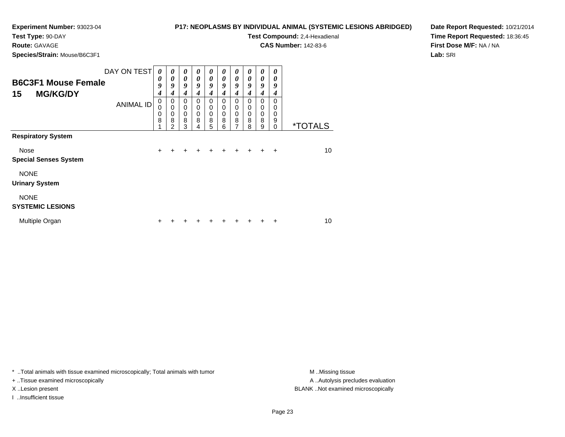**Test Type:** 90-DAY**Route:** GAVAGE

# **P17: NEOPLASMS BY INDIVIDUAL ANIMAL (SYSTEMIC LESIONS ABRIDGED)**

**Test Compound:** 2,4-Hexadienal

**CAS Number:** 142-83-6

**Date Report Requested:** 10/21/2014**Time Report Requested:** 18:36:45**First Dose M/F:** NA / NA**Lab:** SRI

**Species/Strain:** Mouse/B6C3F1

| <b>B6C3F1 Mouse Female</b><br><b>MG/KG/DY</b><br>15 | DAY ON TEST      | 0<br>$\boldsymbol{\theta}$<br>9<br>4<br>$\mathbf 0$ | 0<br>$\boldsymbol{\theta}$<br>9<br>4<br>0 | $\boldsymbol{\theta}$<br>0<br>$\boldsymbol{g}$<br>4<br>$\mathbf 0$ | 0<br>0<br>9<br>4<br>$\Omega$ | 0<br>0<br>$\boldsymbol{g}$<br>4<br>0 | 0<br>0<br>9<br>4<br>0 | 0<br>0<br>9<br>4<br>0    | 0<br>0<br>9<br>4<br>$\Omega$ | 0<br>0<br>9<br>4<br>0      | 0<br>0<br>9<br>4<br>$\Omega$      |                       |
|-----------------------------------------------------|------------------|-----------------------------------------------------|-------------------------------------------|--------------------------------------------------------------------|------------------------------|--------------------------------------|-----------------------|--------------------------|------------------------------|----------------------------|-----------------------------------|-----------------------|
|                                                     | <b>ANIMAL ID</b> | $\mathbf 0$<br>$\mathbf 0$<br>8                     | $\mathbf 0$<br>0<br>8<br>2                | 0<br>$\mathbf 0$<br>8<br>3                                         | 0<br>$\mathbf 0$<br>8<br>4   | 0<br>$\mathbf 0$<br>8<br>5           | 0<br>0<br>8<br>6      | 0<br>$\pmb{0}$<br>8<br>7 | 0<br>$\mathbf 0$<br>8<br>8   | 0<br>$\mathbf 0$<br>8<br>9 | 0<br>$\mathbf 0$<br>9<br>$\Omega$ | <i><b>*TOTALS</b></i> |
| <b>Respiratory System</b>                           |                  |                                                     |                                           |                                                                    |                              |                                      |                       |                          |                              |                            |                                   |                       |
| Nose                                                |                  | +                                                   |                                           |                                                                    |                              |                                      |                       |                          |                              |                            | $\ddot{}$                         | 10                    |
| <b>Special Senses System</b>                        |                  |                                                     |                                           |                                                                    |                              |                                      |                       |                          |                              |                            |                                   |                       |
| <b>NONE</b><br><b>Urinary System</b>                |                  |                                                     |                                           |                                                                    |                              |                                      |                       |                          |                              |                            |                                   |                       |
| <b>NONE</b><br><b>SYSTEMIC LESIONS</b>              |                  |                                                     |                                           |                                                                    |                              |                                      |                       |                          |                              |                            |                                   |                       |
| Multiple Organ                                      |                  |                                                     |                                           |                                                                    |                              |                                      |                       |                          |                              |                            |                                   | 10                    |

\* ..Total animals with tissue examined microscopically; Total animals with tumor **M** . Missing tissue M ..Missing tissue

+ ..Tissue examined microscopically

I ..Insufficient tissue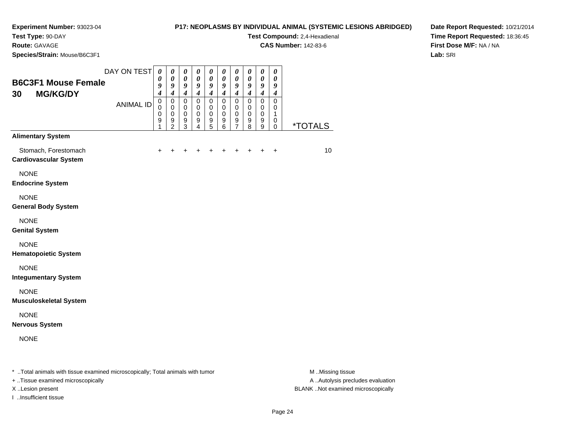#### **P17: NEOPLASMS BY INDIVIDUAL ANIMAL (SYSTEMIC LESIONS ABRIDGED)**

**Test Compound:** 2,4-Hexadienal

**CAS Number:** 142-83-6

**Date Report Requested:** 10/21/2014**Time Report Requested:** 18:36:45**First Dose M/F:** NA / NA**Lab:** SRI

**Test Type:** 90-DAY**Route:** GAVAGE**Species/Strain:** Mouse/B6C3F1

| <b>B6C3F1 Mouse Female</b><br><b>MG/KG/DY</b><br>30  | DAY ON TEST      | $\boldsymbol{\theta}$<br>0<br>9<br>$\boldsymbol{4}$<br>$\mathbf 0$ | $\boldsymbol{\theta}$<br>$\boldsymbol{\theta}$<br>$\boldsymbol{g}$<br>$\boldsymbol{4}$<br>$\mathsf 0$ | $\boldsymbol{\theta}$<br>$\boldsymbol{\theta}$<br>9<br>$\boldsymbol{4}$<br>$\pmb{0}$ | $\boldsymbol{\theta}$<br>$\boldsymbol{\theta}$<br>$\boldsymbol{g}$<br>$\boldsymbol{4}$<br>$\pmb{0}$ | $\boldsymbol{\theta}$<br>$\boldsymbol{\theta}$<br>9<br>$\boldsymbol{4}$<br>$\mathbf 0$ | $\boldsymbol{\theta}$<br>$\boldsymbol{\theta}$<br>$\boldsymbol{9}$<br>$\boldsymbol{4}$<br>$\mathbf 0$ | $\boldsymbol{\theta}$<br>$\boldsymbol{\theta}$<br>9<br>$\boldsymbol{4}$<br>$\mathsf 0$ | 0<br>$\boldsymbol{\theta}$<br>9<br>$\boldsymbol{4}$<br>$\mathsf 0$ | 0<br>$\boldsymbol{\theta}$<br>$\boldsymbol{9}$<br>$\boldsymbol{4}$<br>$\mathsf 0$ | 0<br>$\boldsymbol{\theta}$<br>9<br>$\boldsymbol{4}$<br>$\mathbf 0$ |                       |
|------------------------------------------------------|------------------|--------------------------------------------------------------------|-------------------------------------------------------------------------------------------------------|--------------------------------------------------------------------------------------|-----------------------------------------------------------------------------------------------------|----------------------------------------------------------------------------------------|-------------------------------------------------------------------------------------------------------|----------------------------------------------------------------------------------------|--------------------------------------------------------------------|-----------------------------------------------------------------------------------|--------------------------------------------------------------------|-----------------------|
|                                                      | <b>ANIMAL ID</b> | $\mathbf 0$<br>0<br>9<br>1                                         | $\mathbf 0$<br>$\pmb{0}$<br>$\boldsymbol{9}$<br>$\overline{2}$                                        | $\mathbf 0$<br>$\mathbf 0$<br>$\boldsymbol{9}$<br>3                                  | $\mathbf 0$<br>$\pmb{0}$<br>$\boldsymbol{9}$<br>$\overline{4}$                                      | $\mathbf 0$<br>$\mathbf 0$<br>$\boldsymbol{9}$<br>5                                    | $\mathbf 0$<br>$\pmb{0}$<br>$\boldsymbol{9}$<br>$6\phantom{a}$                                        | $\mathbf 0$<br>$\mathbf 0$<br>$\boldsymbol{9}$<br>$\overline{7}$                       | 0<br>$\mathbf 0$<br>$\boldsymbol{9}$<br>8                          | $\mathbf 0$<br>0<br>$\boldsymbol{9}$<br>9                                         | $\mathbf 0$<br>1<br>$\mathbf 0$<br>$\mathbf 0$                     | <i><b>*TOTALS</b></i> |
| <b>Alimentary System</b>                             |                  |                                                                    |                                                                                                       |                                                                                      |                                                                                                     |                                                                                        |                                                                                                       |                                                                                        |                                                                    |                                                                                   |                                                                    |                       |
| Stomach, Forestomach<br><b>Cardiovascular System</b> |                  | ٠                                                                  |                                                                                                       |                                                                                      |                                                                                                     |                                                                                        |                                                                                                       | +                                                                                      | +                                                                  | +                                                                                 | $\ddot{}$                                                          | 10                    |
| <b>NONE</b><br><b>Endocrine System</b>               |                  |                                                                    |                                                                                                       |                                                                                      |                                                                                                     |                                                                                        |                                                                                                       |                                                                                        |                                                                    |                                                                                   |                                                                    |                       |
| <b>NONE</b><br><b>General Body System</b>            |                  |                                                                    |                                                                                                       |                                                                                      |                                                                                                     |                                                                                        |                                                                                                       |                                                                                        |                                                                    |                                                                                   |                                                                    |                       |
| <b>NONE</b><br><b>Genital System</b>                 |                  |                                                                    |                                                                                                       |                                                                                      |                                                                                                     |                                                                                        |                                                                                                       |                                                                                        |                                                                    |                                                                                   |                                                                    |                       |
| <b>NONE</b><br><b>Hematopoietic System</b>           |                  |                                                                    |                                                                                                       |                                                                                      |                                                                                                     |                                                                                        |                                                                                                       |                                                                                        |                                                                    |                                                                                   |                                                                    |                       |
| <b>NONE</b><br><b>Integumentary System</b>           |                  |                                                                    |                                                                                                       |                                                                                      |                                                                                                     |                                                                                        |                                                                                                       |                                                                                        |                                                                    |                                                                                   |                                                                    |                       |
| <b>NONE</b><br><b>Musculoskeletal System</b>         |                  |                                                                    |                                                                                                       |                                                                                      |                                                                                                     |                                                                                        |                                                                                                       |                                                                                        |                                                                    |                                                                                   |                                                                    |                       |
| <b>NONE</b><br><b>Nervous System</b>                 |                  |                                                                    |                                                                                                       |                                                                                      |                                                                                                     |                                                                                        |                                                                                                       |                                                                                        |                                                                    |                                                                                   |                                                                    |                       |
| <b>NONE</b>                                          |                  |                                                                    |                                                                                                       |                                                                                      |                                                                                                     |                                                                                        |                                                                                                       |                                                                                        |                                                                    |                                                                                   |                                                                    |                       |
|                                                      |                  |                                                                    |                                                                                                       |                                                                                      |                                                                                                     |                                                                                        |                                                                                                       |                                                                                        |                                                                    |                                                                                   |                                                                    |                       |

\* ..Total animals with tissue examined microscopically; Total animals with tumor **M** . Missing tissue M ..Missing tissue

+ ..Tissue examined microscopically

I ..Insufficient tissue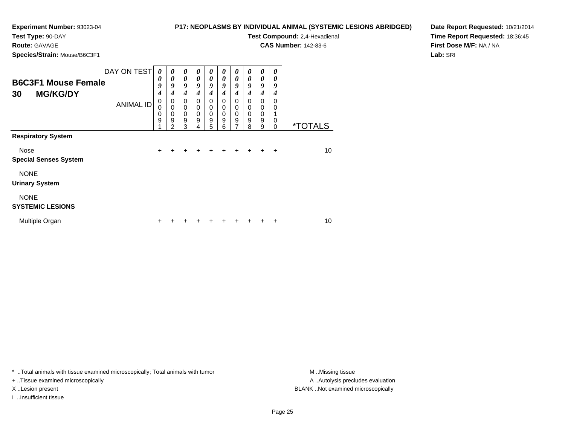# **P17: NEOPLASMS BY INDIVIDUAL ANIMAL (SYSTEMIC LESIONS ABRIDGED)**

**Route:** GAVAGE

**Species/Strain:** Mouse/B6C3F1

|  |                       |  | Dale Repor                                                                                                                 |  |  |
|--|-----------------------|--|----------------------------------------------------------------------------------------------------------------------------|--|--|
|  | <b>Time Repor</b>     |  |                                                                                                                            |  |  |
|  |                       |  | <b>First Dose</b>                                                                                                          |  |  |
|  |                       |  | Lab: SRI                                                                                                                   |  |  |
|  |                       |  |                                                                                                                            |  |  |
|  | $\boldsymbol{\theta}$ |  | <u>NDIVIDUAL ANIMAL (STSTEMIC LESIONS ABRIDGED)</u><br><b>Test Compound: 2,4-Hexadienal</b><br><b>CAS Number: 142-83-6</b> |  |  |

**Date Report Requested:** 10/21/2014**Time Report Requested:** 18:36:45**M/F:** NA / NA

| <b>B6C3F1 Mouse Female</b><br><b>MG/KG/DY</b><br>30 | DAY ON TEST      | $\boldsymbol{\theta}$<br>0<br>9<br>4 | 0<br>0<br>9<br>4                                    | 0<br>$\boldsymbol{\theta}$<br>9<br>4                     | $\boldsymbol{\theta}$<br>0<br>9<br>4      | 0<br>$\boldsymbol{\theta}$<br>9<br>4                   | 0<br>0<br>9<br>4                       | 0<br>$\boldsymbol{\theta}$<br>9<br>$\boldsymbol{4}$ | 0<br>0<br>9<br>4             | 0<br>0<br>9<br>4                                                                  | 0<br>0<br>9<br>4      |    |
|-----------------------------------------------------|------------------|--------------------------------------|-----------------------------------------------------|----------------------------------------------------------|-------------------------------------------|--------------------------------------------------------|----------------------------------------|-----------------------------------------------------|------------------------------|-----------------------------------------------------------------------------------|-----------------------|----|
|                                                     | <b>ANIMAL ID</b> | 0<br>$\mathbf 0$<br>0<br>9           | $\mathbf 0$<br>$\mathbf 0$<br>$\mathbf 0$<br>9<br>2 | 0<br>$\mathbf 0$<br>$\mathbf 0$<br>$\boldsymbol{9}$<br>3 | 0<br>$\mathbf 0$<br>$\mathbf 0$<br>9<br>4 | 0<br>$\pmb{0}$<br>$\mathbf 0$<br>$\boldsymbol{9}$<br>5 | $\Omega$<br>0<br>$\mathbf 0$<br>9<br>6 | 0<br>0<br>$\pmb{0}$<br>$\boldsymbol{9}$<br>7        | $\Omega$<br>0<br>0<br>9<br>8 | 0<br>0<br>$\mathbf 0$<br>0<br>$\mathbf 0$<br>$\overline{9}$<br>0<br>9<br>$\Omega$ | <i><b>*TOTALS</b></i> |    |
| <b>Respiratory System</b>                           |                  |                                      |                                                     |                                                          |                                           |                                                        |                                        |                                                     |                              |                                                                                   |                       |    |
| Nose<br><b>Special Senses System</b>                |                  | $\ddot{}$                            |                                                     |                                                          |                                           |                                                        |                                        |                                                     |                              |                                                                                   | ÷                     | 10 |
| <b>NONE</b><br><b>Urinary System</b>                |                  |                                      |                                                     |                                                          |                                           |                                                        |                                        |                                                     |                              |                                                                                   |                       |    |
| <b>NONE</b><br><b>SYSTEMIC LESIONS</b>              |                  |                                      |                                                     |                                                          |                                           |                                                        |                                        |                                                     |                              |                                                                                   |                       |    |
| Multiple Organ                                      |                  | ٠                                    |                                                     |                                                          |                                           |                                                        |                                        |                                                     |                              |                                                                                   | ٠                     | 10 |

\* ..Total animals with tissue examined microscopically; Total animals with tumor **M** . Missing tissue M ..Missing tissue

+ ..Tissue examined microscopically

I ..Insufficient tissue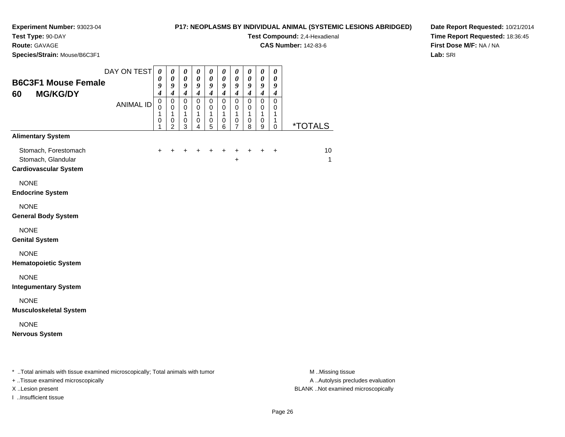#### **P17: NEOPLASMS BY INDIVIDUAL ANIMAL (SYSTEMIC LESIONS ABRIDGED)**

**Test Compound:** 2,4-Hexadienal

**CAS Number:** 142-83-6

**Date Report Requested:** 10/21/2014**Time Report Requested:** 18:36:45**First Dose M/F:** NA / NA**Lab:** SRI

**Route:** GAVAGE

|             | Species/Strain: Mouse/B6C3F1                                               |                               |                                                             |                                              |                                                                                 |                                                                  |                                                                         |                                                      |                                                                  |                                              |                                                           |                                              |                    |
|-------------|----------------------------------------------------------------------------|-------------------------------|-------------------------------------------------------------|----------------------------------------------|---------------------------------------------------------------------------------|------------------------------------------------------------------|-------------------------------------------------------------------------|------------------------------------------------------|------------------------------------------------------------------|----------------------------------------------|-----------------------------------------------------------|----------------------------------------------|--------------------|
| 60          | <b>B6C3F1 Mouse Female</b><br><b>MG/KG/DY</b>                              | DAY ON TEST                   | $\pmb{\theta}$<br>0<br>9<br>$\boldsymbol{4}$                | 0<br>$\pmb{\theta}$<br>9<br>$\boldsymbol{4}$ | $\pmb{\theta}$<br>$\boldsymbol{\theta}$<br>$\boldsymbol{g}$<br>$\boldsymbol{4}$ | $\pmb{\theta}$<br>$\boldsymbol{\theta}$<br>9<br>$\boldsymbol{4}$ | $\boldsymbol{\theta}$<br>$\boldsymbol{\theta}$<br>9<br>$\boldsymbol{4}$ | 0<br>0<br>9<br>$\boldsymbol{4}$                      | $\pmb{\theta}$<br>$\boldsymbol{\theta}$<br>9<br>$\boldsymbol{4}$ | $\pmb{\theta}$<br>0<br>9<br>$\boldsymbol{4}$ | $\pmb{\theta}$<br>$\pmb{\theta}$<br>9<br>$\boldsymbol{4}$ | $\pmb{\theta}$<br>0<br>9<br>$\boldsymbol{4}$ |                    |
|             | <b>ANIMAL ID</b>                                                           | $\pmb{0}$<br>0<br>1<br>0<br>1 | $\mathbf 0$<br>0<br>1<br>$\boldsymbol{0}$<br>$\overline{c}$ | $\mathbf 0$<br>0<br>1<br>$\,0\,$<br>3        | $\mathbf 0$<br>0<br>$\mathbf{1}$<br>0<br>4                                      | $\mathbf 0$<br>0<br>$\mathbf{1}$<br>$\pmb{0}$<br>5               | $\mathbf 0$<br>0<br>$\mathbf{1}$<br>0<br>6                              | $\mathbf 0$<br>0<br>1<br>$\pmb{0}$<br>$\overline{7}$ | $\mathbf 0$<br>0<br>$\mathbf{1}$<br>0<br>8                       | $\mathbf 0$<br>0<br>1<br>0<br>9              | $\mathbf 0$<br>0<br>1<br>1<br>0                           | <i><b>*TOTALS</b></i>                        |                    |
|             | <b>Alimentary System</b>                                                   |                               |                                                             |                                              |                                                                                 |                                                                  |                                                                         |                                                      |                                                                  |                                              |                                                           |                                              |                    |
|             | Stomach, Forestomach<br>Stomach, Glandular<br><b>Cardiovascular System</b> |                               | $\ddot{}$                                                   | $\ddot{}$                                    | +                                                                               | +                                                                | +                                                                       | +                                                    | $\ddot{}$<br>+                                                   | $\ddot{}$                                    | $\ddot{}$                                                 | $\ddot{}$                                    | 10<br>$\mathbf{1}$ |
| <b>NONE</b> | <b>Endocrine System</b>                                                    |                               |                                                             |                                              |                                                                                 |                                                                  |                                                                         |                                                      |                                                                  |                                              |                                                           |                                              |                    |
| <b>NONE</b> | <b>General Body System</b>                                                 |                               |                                                             |                                              |                                                                                 |                                                                  |                                                                         |                                                      |                                                                  |                                              |                                                           |                                              |                    |
| <b>NONE</b> | <b>Genital System</b>                                                      |                               |                                                             |                                              |                                                                                 |                                                                  |                                                                         |                                                      |                                                                  |                                              |                                                           |                                              |                    |
| <b>NONE</b> | <b>Hematopoietic System</b>                                                |                               |                                                             |                                              |                                                                                 |                                                                  |                                                                         |                                                      |                                                                  |                                              |                                                           |                                              |                    |
| <b>NONE</b> | <b>Integumentary System</b>                                                |                               |                                                             |                                              |                                                                                 |                                                                  |                                                                         |                                                      |                                                                  |                                              |                                                           |                                              |                    |
| <b>NONE</b> | <b>Musculoskeletal System</b>                                              |                               |                                                             |                                              |                                                                                 |                                                                  |                                                                         |                                                      |                                                                  |                                              |                                                           |                                              |                    |
| <b>NONE</b> | <b>Nervous System</b>                                                      |                               |                                                             |                                              |                                                                                 |                                                                  |                                                                         |                                                      |                                                                  |                                              |                                                           |                                              |                    |
|             |                                                                            |                               |                                                             |                                              |                                                                                 |                                                                  |                                                                         |                                                      |                                                                  |                                              |                                                           |                                              |                    |

\* ..Total animals with tissue examined microscopically; Total animals with tumor **M** . Missing tissue M ..Missing tissue

+ ..Tissue examined microscopically

I ..Insufficient tissue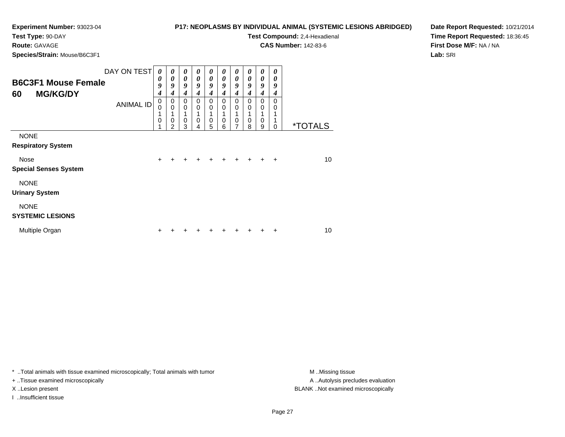#### **P17: NEOPLASMS BY INDIVIDUAL ANIMAL (SYSTEMIC LESIONS ABRIDGED)**

**Test Compound:** 2,4-Hexadienal **CAS Number:** 142-83-6

**Route:** GAVAGE

**Species/Strain:** Mouse/B6C3F1

**Date Report Requested:** 10/21/2014**Time Report Requested:** 18:36:45**First Dose M/F:** NA / NA**Lab:** SRI

| <b>B6C3F1 Mouse Female</b><br><b>MG/KG/DY</b><br>60 | DAY ON TEST      | $\boldsymbol{\theta}$<br>0<br>9<br>4<br>$\mathbf 0$ | 0<br>0<br>9<br>4<br>0           | 0<br>$\boldsymbol{\theta}$<br>9<br>$\boldsymbol{4}$<br>$\mathbf 0$ | 0<br>0<br>9<br>4<br>0 | 0<br>$\boldsymbol{\theta}$<br>9<br>$\boldsymbol{4}$<br>0 | 0<br>0<br>9<br>4<br>0 | 0<br>0<br>9<br>4<br>0 | 0<br>0<br>9<br>4<br>$\Omega$ | 0<br>0<br>9<br>$\boldsymbol{4}$<br>0 | 0<br>0<br>9<br>4<br>$\Omega$ |                       |
|-----------------------------------------------------|------------------|-----------------------------------------------------|---------------------------------|--------------------------------------------------------------------|-----------------------|----------------------------------------------------------|-----------------------|-----------------------|------------------------------|--------------------------------------|------------------------------|-----------------------|
|                                                     | <b>ANIMAL ID</b> | $\Omega$<br>1<br>0                                  | $\mathbf 0$<br>$\mathbf 0$<br>2 | $\mathbf 0$<br>1<br>$\mathbf 0$<br>3                               | $\Omega$<br>$\Omega$  | 0<br>1<br>$\mathbf 0$<br>5                               | 0<br>$\mathbf 0$<br>6 | 0<br>$\mathbf 0$      | 0<br>0<br>8                  | 0<br>1<br>$\mathbf 0$<br>9           | 0<br>$\Omega$                | <i><b>*TOTALS</b></i> |
| <b>NONE</b><br><b>Respiratory System</b>            |                  |                                                     |                                 |                                                                    |                       |                                                          |                       |                       |                              |                                      |                              |                       |
| Nose<br><b>Special Senses System</b>                |                  | $\ddot{}$                                           |                                 |                                                                    |                       |                                                          |                       |                       |                              |                                      | ÷                            | 10                    |
| <b>NONE</b><br><b>Urinary System</b>                |                  |                                                     |                                 |                                                                    |                       |                                                          |                       |                       |                              |                                      |                              |                       |
| <b>NONE</b><br><b>SYSTEMIC LESIONS</b>              |                  |                                                     |                                 |                                                                    |                       |                                                          |                       |                       |                              |                                      |                              |                       |
| Multiple Organ                                      |                  | ٠                                                   |                                 |                                                                    |                       |                                                          |                       |                       |                              |                                      | ÷                            | 10                    |

\* ..Total animals with tissue examined microscopically; Total animals with tumor **M** . Missing tissue M ..Missing tissue

+ ..Tissue examined microscopically

I ..Insufficient tissue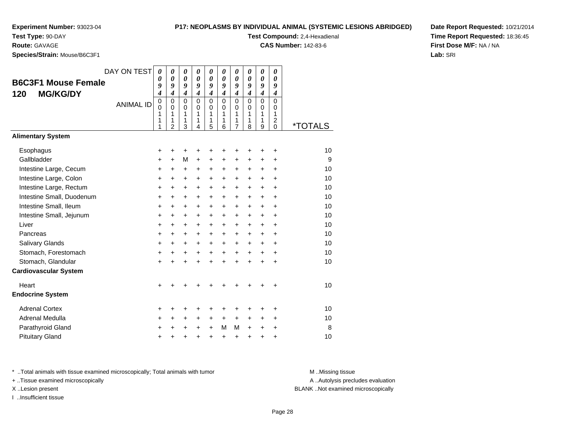#### **P17: NEOPLASMS BY INDIVIDUAL ANIMAL (SYSTEMIC LESIONS ABRIDGED)**

**Test Compound:** 2,4-Hexadienal

**CAS Number:** 142-83-6

**Date Report Requested:** 10/21/2014**Time Report Requested:** 18:36:45**First Dose M/F:** NA / NA**Lab:** SRI

**Species/Strain:** Mouse/B6C3F1

**Route:** GAVAGE

| <b>opecies/otialii.</b> Mouse/Doush i                |                                 |                                                                                                 |                                                                                                        |                                                                                                        |                                                                                          |                                                                                 |                                                                                                     |                                                                                             |                                                                                          |                                                                                             |                                                                                                |         |
|------------------------------------------------------|---------------------------------|-------------------------------------------------------------------------------------------------|--------------------------------------------------------------------------------------------------------|--------------------------------------------------------------------------------------------------------|------------------------------------------------------------------------------------------|---------------------------------------------------------------------------------|-----------------------------------------------------------------------------------------------------|---------------------------------------------------------------------------------------------|------------------------------------------------------------------------------------------|---------------------------------------------------------------------------------------------|------------------------------------------------------------------------------------------------|---------|
| <b>B6C3F1 Mouse Female</b><br><b>MG/KG/DY</b><br>120 | DAY ON TEST<br><b>ANIMAL ID</b> | $\boldsymbol{\theta}$<br>$\theta$<br>9<br>$\boldsymbol{4}$<br>$\mathbf 0$<br>$\Omega$<br>1<br>1 | 0<br>$\boldsymbol{\theta}$<br>9<br>$\overline{\boldsymbol{4}}$<br>$\mathbf 0$<br>$\mathbf 0$<br>1<br>1 | 0<br>$\boldsymbol{\theta}$<br>9<br>$\overline{\boldsymbol{4}}$<br>$\mathbf 0$<br>$\mathbf 0$<br>1<br>1 | 0<br>$\boldsymbol{\theta}$<br>9<br>$\boldsymbol{4}$<br>$\mathbf 0$<br>$\Omega$<br>1<br>1 | 0<br>0<br>9<br>$\overline{\boldsymbol{4}}$<br>$\mathbf 0$<br>$\Omega$<br>1<br>1 | 0<br>$\boldsymbol{\theta}$<br>9<br>$\boldsymbol{4}$<br>$\mathbf 0$<br>$\Omega$<br>1<br>$\mathbf{1}$ | 0<br>$\boldsymbol{\theta}$<br>9<br>$\boldsymbol{4}$<br>$\mathbf 0$<br>$\mathbf 0$<br>1<br>1 | 0<br>$\boldsymbol{\theta}$<br>9<br>$\boldsymbol{4}$<br>$\mathbf 0$<br>$\Omega$<br>1<br>1 | 0<br>$\boldsymbol{\theta}$<br>9<br>$\boldsymbol{4}$<br>$\mathbf 0$<br>$\mathbf 0$<br>1<br>1 | 0<br>$\boldsymbol{\theta}$<br>9<br>$\boldsymbol{4}$<br>$\mathbf 0$<br>0<br>1<br>$\overline{c}$ |         |
|                                                      |                                 | 1                                                                                               | $\overline{2}$                                                                                         | 3                                                                                                      | 4                                                                                        | 5                                                                               | 6                                                                                                   | $\overline{7}$                                                                              | 8                                                                                        | 9                                                                                           | $\Omega$                                                                                       | *TOTALS |
| <b>Alimentary System</b>                             |                                 |                                                                                                 |                                                                                                        |                                                                                                        |                                                                                          |                                                                                 |                                                                                                     |                                                                                             |                                                                                          |                                                                                             |                                                                                                |         |
| Esophagus                                            |                                 | +                                                                                               | +                                                                                                      | +                                                                                                      | +                                                                                        | +                                                                               | +                                                                                                   | +                                                                                           | +                                                                                        | +                                                                                           | +                                                                                              | 10      |
| Gallbladder                                          |                                 | $\ddot{}$                                                                                       | $\ddot{}$                                                                                              | M                                                                                                      | $\ddot{}$                                                                                | $\ddot{}$                                                                       | $\ddot{}$                                                                                           | $\ddot{}$                                                                                   | $\ddot{}$                                                                                | $\ddot{}$                                                                                   | $\ddot{}$                                                                                      | 9       |
| Intestine Large, Cecum                               |                                 | +                                                                                               | $\ddot{}$                                                                                              | $\ddot{}$                                                                                              | $\ddot{}$                                                                                | +                                                                               | +                                                                                                   | $\ddot{}$                                                                                   | $\ddot{}$                                                                                | $\ddot{}$                                                                                   | $\ddot{}$                                                                                      | 10      |
| Intestine Large, Colon                               |                                 | $\ddot{}$                                                                                       | $\ddot{}$                                                                                              | +                                                                                                      | $\ddot{}$                                                                                | $\ddot{}$                                                                       | $\ddot{}$                                                                                           | $\ddot{}$                                                                                   | $\ddot{}$                                                                                | $\ddot{}$                                                                                   | $\ddot{}$                                                                                      | 10      |
| Intestine Large, Rectum                              |                                 | $\ddot{}$                                                                                       | +                                                                                                      | +                                                                                                      | $\ddot{}$                                                                                | $\ddot{}$                                                                       | $\ddot{}$                                                                                           | $\ddot{}$                                                                                   | $\ddot{}$                                                                                | $\ddot{}$                                                                                   | $\ddot{}$                                                                                      | 10      |
| Intestine Small, Duodenum                            |                                 | $\ddot{}$                                                                                       | $\ddot{}$                                                                                              | +                                                                                                      | $\ddot{}$                                                                                | $\ddot{}$                                                                       | +                                                                                                   | $\ddot{}$                                                                                   | $\ddot{}$                                                                                | $\ddot{}$                                                                                   | $\ddot{}$                                                                                      | 10      |
| Intestine Small, Ileum                               |                                 | $\ddot{}$                                                                                       | $\ddot{}$                                                                                              | +                                                                                                      | $\ddot{}$                                                                                | +                                                                               | +                                                                                                   | $\ddot{}$                                                                                   | $\ddot{}$                                                                                | $\ddot{}$                                                                                   | $\ddot{}$                                                                                      | 10      |
| Intestine Small, Jejunum                             |                                 | +                                                                                               | +                                                                                                      | $\ddot{}$                                                                                              | $\ddot{}$                                                                                | $\ddot{}$                                                                       | +                                                                                                   | $\ddot{}$                                                                                   | $\ddot{}$                                                                                | $\ddot{}$                                                                                   | $\ddot{}$                                                                                      | 10      |
| Liver                                                |                                 | +                                                                                               | $\ddot{}$                                                                                              | $\ddot{}$                                                                                              | $\ddot{}$                                                                                | $\ddot{}$                                                                       | +                                                                                                   | $\ddot{}$                                                                                   | $\ddot{}$                                                                                | $\ddot{}$                                                                                   | $\ddot{}$                                                                                      | 10      |
| Pancreas                                             |                                 | +                                                                                               | +                                                                                                      | +                                                                                                      | $\ddot{}$                                                                                | $\ddot{}$                                                                       | $\pm$                                                                                               | +                                                                                           | $\ddot{}$                                                                                | $\ddot{}$                                                                                   | +                                                                                              | 10      |
| Salivary Glands                                      |                                 | +                                                                                               | +                                                                                                      | $\ddot{}$                                                                                              | $\ddot{}$                                                                                | $\ddot{}$                                                                       | +                                                                                                   | $\ddot{}$                                                                                   | $\ddot{}$                                                                                | $\ddot{}$                                                                                   | $\ddot{}$                                                                                      | 10      |
| Stomach, Forestomach                                 |                                 | +                                                                                               | +                                                                                                      | +                                                                                                      | +                                                                                        | +                                                                               | +                                                                                                   | +                                                                                           | +                                                                                        | $\ddot{}$                                                                                   | $\ddot{}$                                                                                      | 10      |
| Stomach, Glandular                                   |                                 | $\ddot{}$                                                                                       | $\ddot{}$                                                                                              | $\ddot{}$                                                                                              | ÷                                                                                        | $\ddot{}$                                                                       | ÷                                                                                                   | $\ddot{}$                                                                                   | ÷                                                                                        | $\ddot{}$                                                                                   | $\ddot{}$                                                                                      | 10      |
| <b>Cardiovascular System</b>                         |                                 |                                                                                                 |                                                                                                        |                                                                                                        |                                                                                          |                                                                                 |                                                                                                     |                                                                                             |                                                                                          |                                                                                             |                                                                                                |         |
| Heart                                                |                                 | +                                                                                               |                                                                                                        |                                                                                                        |                                                                                          |                                                                                 |                                                                                                     |                                                                                             |                                                                                          |                                                                                             | +                                                                                              | 10      |
| <b>Endocrine System</b>                              |                                 |                                                                                                 |                                                                                                        |                                                                                                        |                                                                                          |                                                                                 |                                                                                                     |                                                                                             |                                                                                          |                                                                                             |                                                                                                |         |
| <b>Adrenal Cortex</b>                                |                                 | +                                                                                               | +                                                                                                      | +                                                                                                      | +                                                                                        | +                                                                               | +                                                                                                   | +                                                                                           | +                                                                                        | +                                                                                           | +                                                                                              | 10      |
| Adrenal Medulla                                      |                                 | ٠                                                                                               | +                                                                                                      | +                                                                                                      | +                                                                                        | +                                                                               | $\pm$                                                                                               | $\ddot{}$                                                                                   | $\ddot{}$                                                                                | $\ddot{}$                                                                                   | $\ddot{}$                                                                                      | 10      |
| Parathyroid Gland                                    |                                 | +                                                                                               | +                                                                                                      | +                                                                                                      | +                                                                                        | $\ddot{}$                                                                       | M                                                                                                   | M                                                                                           | $\ddot{}$                                                                                | $\pm$                                                                                       | +                                                                                              | 8       |
| <b>Pituitary Gland</b>                               |                                 | +                                                                                               | +                                                                                                      | +                                                                                                      | +                                                                                        | $\ddot{}$                                                                       | +                                                                                                   | +                                                                                           | +                                                                                        | +                                                                                           | +                                                                                              | 10      |
|                                                      |                                 |                                                                                                 |                                                                                                        |                                                                                                        |                                                                                          |                                                                                 |                                                                                                     |                                                                                             |                                                                                          |                                                                                             |                                                                                                |         |

\* ..Total animals with tissue examined microscopically; Total animals with tumor **M** . Missing tissue M ..Missing tissue

+ ..Tissue examined microscopically

I ..Insufficient tissue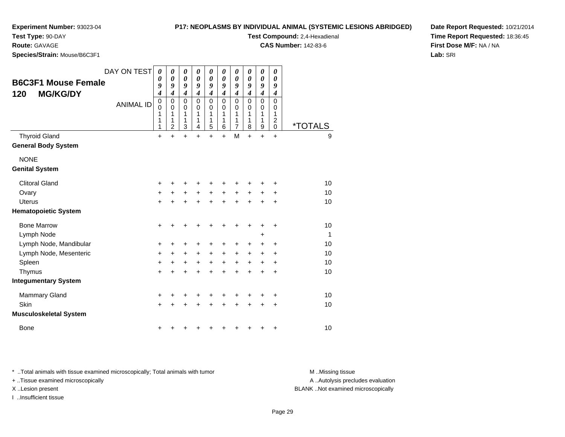#### **P17: NEOP**

**Experiment Number:** 93023-04

**Test Type:** 90-DAY

**Route:** GAVAGE

**Species/Strain:** Mouse/B6C3F1

| 'LASMS BY INDIVIDUAL ANIMAL (SYSTEMIC LESIONS ABRIDGED) |  |  |  |  |
|---------------------------------------------------------|--|--|--|--|
|                                                         |  |  |  |  |

**Test Compound:** 2,4-Hexadienal

**CAS Number:** 142-83-6

**Date Report Requested:** 10/21/2014**Time Report Requested:** 18:36:45**First Dose M/F:** NA / NA**Lab:** SRI

| <b>B6C3F1 Mouse Female</b><br><b>MG/KG/DY</b><br>120 | DAY ON TEST      | 0<br>$\boldsymbol{\theta}$<br>9<br>$\boldsymbol{4}$ | 0<br>$\boldsymbol{\theta}$<br>9<br>$\boldsymbol{4}$ | 0<br>0<br>9<br>$\boldsymbol{4}$ | 0<br>$\boldsymbol{\theta}$<br>9<br>$\boldsymbol{4}$ | 0<br>$\boldsymbol{\theta}$<br>9<br>$\boldsymbol{4}$ | 0<br>0<br>9<br>$\boldsymbol{4}$        | 0<br>0<br>9<br>4                   | 0<br>0<br>9<br>4      | 0<br>$\boldsymbol{\theta}$<br>9<br>$\boldsymbol{4}$ | 0<br>0<br>9<br>4                                       |                       |
|------------------------------------------------------|------------------|-----------------------------------------------------|-----------------------------------------------------|---------------------------------|-----------------------------------------------------|-----------------------------------------------------|----------------------------------------|------------------------------------|-----------------------|-----------------------------------------------------|--------------------------------------------------------|-----------------------|
|                                                      | <b>ANIMAL ID</b> | 0<br>$\mathbf 0$<br>1<br>1<br>1                     | 0<br>$\mathbf 0$<br>1<br>1<br>$\overline{c}$        | $\mathbf 0$<br>0<br>1<br>1<br>3 | $\Omega$<br>$\Omega$<br>1<br>1<br>$\overline{4}$    | $\mathbf 0$<br>0<br>1<br>1<br>5                     | $\mathbf 0$<br>$\Omega$<br>1<br>1<br>6 | 0<br>0<br>1<br>1<br>$\overline{7}$ | 0<br>0<br>1<br>1<br>8 | $\mathbf 0$<br>0<br>1<br>1<br>$\boldsymbol{9}$      | $\mathbf 0$<br>0<br>1<br>$\overline{2}$<br>$\mathbf 0$ | <i><b>*TOTALS</b></i> |
| <b>Thyroid Gland</b><br><b>General Body System</b>   |                  | $\ddot{}$                                           | $+$                                                 | $\ddot{}$                       | $\ddot{}$                                           | $\ddot{}$                                           | $\ddot{}$                              | M                                  | $\ddot{}$             | $+$                                                 | $+$                                                    | 9                     |
| <b>NONE</b><br><b>Genital System</b>                 |                  |                                                     |                                                     |                                 |                                                     |                                                     |                                        |                                    |                       |                                                     |                                                        |                       |
| <b>Clitoral Gland</b>                                |                  | +                                                   |                                                     | +                               | +                                                   | +                                                   |                                        |                                    |                       |                                                     |                                                        | 10                    |
| Ovary                                                |                  | +                                                   |                                                     | +                               | $\ddot{}$                                           | $\ddot{}$                                           | $\ddot{}$                              | +                                  | +                     |                                                     |                                                        | 10                    |
| <b>Uterus</b>                                        |                  | $+$                                                 |                                                     | Ŧ.                              | $\ddot{}$                                           | $\ddot{}$                                           | $\ddot{}$                              | $\ddot{}$                          | $\ddot{}$             | +                                                   | $\ddot{}$                                              | 10                    |
| <b>Hematopoietic System</b>                          |                  |                                                     |                                                     |                                 |                                                     |                                                     |                                        |                                    |                       |                                                     |                                                        |                       |
| <b>Bone Marrow</b>                                   |                  | $\ddot{}$                                           | +                                                   | +                               | +                                                   | +                                                   | +                                      | +                                  | +                     | +                                                   | +                                                      | 10                    |
| Lymph Node                                           |                  |                                                     |                                                     |                                 |                                                     |                                                     |                                        |                                    |                       | +                                                   |                                                        | 1                     |
| Lymph Node, Mandibular                               |                  | +                                                   | +                                                   | +                               | +                                                   | +                                                   | +                                      | +                                  | +                     | +                                                   | $\ddot{}$                                              | 10                    |
| Lymph Node, Mesenteric                               |                  | +                                                   | $\ddot{}$                                           | $\ddot{}$                       | $\ddot{}$                                           | $\ddot{}$                                           | $\ddot{}$                              | +                                  | $\ddot{}$             | $\ddot{}$                                           | $\ddot{}$                                              | 10                    |
| Spleen                                               |                  | $\ddot{}$                                           | +                                                   | $\ddot{}$                       | $\ddot{}$                                           | $\ddot{}$                                           | $\ddot{}$                              | $\ddot{}$                          | $\ddot{}$             | $\ddot{}$                                           | $\ddot{}$                                              | 10                    |
| Thymus                                               |                  | $+$                                                 | ÷                                                   | $\ddot{}$                       | $\ddot{}$                                           | $\ddot{}$                                           | $\ddot{}$                              | $\ddot{}$                          | $\ddot{}$             | +                                                   | $\ddot{}$                                              | 10                    |
| <b>Integumentary System</b>                          |                  |                                                     |                                                     |                                 |                                                     |                                                     |                                        |                                    |                       |                                                     |                                                        |                       |
| <b>Mammary Gland</b>                                 |                  | +                                                   |                                                     | +                               | +                                                   | +                                                   |                                        |                                    |                       |                                                     | +                                                      | 10                    |
| Skin                                                 |                  | $+$                                                 | $\ddot{}$                                           | $\ddot{}$                       | $\ddot{}$                                           | $\ddot{}$                                           | $\ddot{}$                              | $\ddot{}$                          | $\ddot{}$             | $\ddot{}$                                           | +                                                      | 10                    |
| <b>Musculoskeletal System</b>                        |                  |                                                     |                                                     |                                 |                                                     |                                                     |                                        |                                    |                       |                                                     |                                                        |                       |
| <b>Bone</b>                                          |                  |                                                     |                                                     |                                 |                                                     |                                                     |                                        |                                    |                       |                                                     |                                                        | 10                    |

\* ..Total animals with tissue examined microscopically; Total animals with tumor **M** . Missing tissue M ..Missing tissue

+ ..Tissue examined microscopically

I ..Insufficient tissue